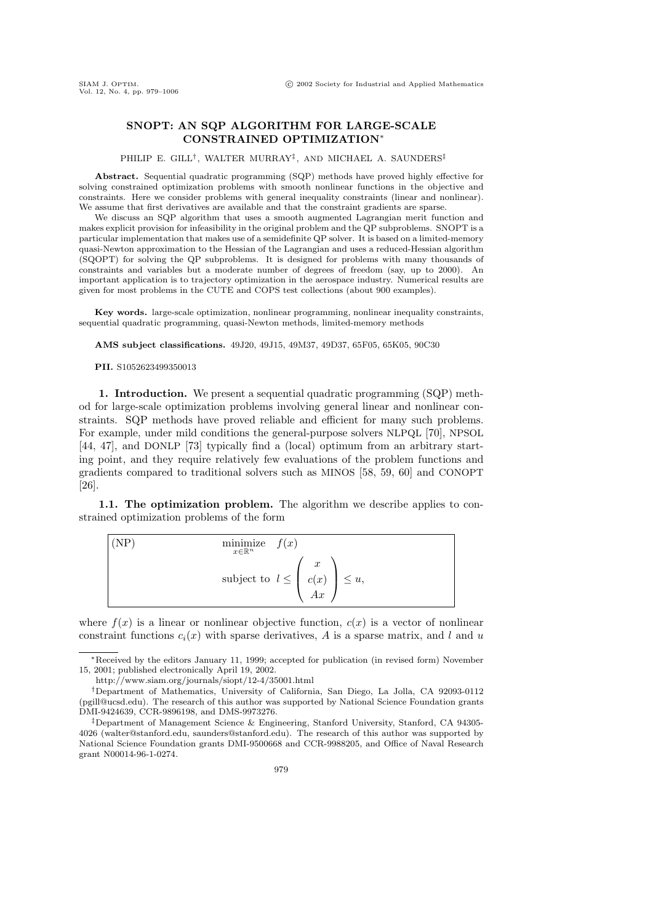## SNOPT: AN SQP ALGORITHM FOR LARGE-SCALE CONSTRAINED OPTIMIZATION<sup>∗</sup>

## PHILIP E. GILL<sup>†</sup>, WALTER MURRAY<sup>‡</sup>, AND MICHAEL A. SAUNDERS<sup>‡</sup>

Abstract. Sequential quadratic programming (SQP) methods have proved highly effective for solving constrained optimization problems with smooth nonlinear functions in the objective and constraints. Here we consider problems with general inequality constraints (linear and nonlinear). We assume that first derivatives are available and that the constraint gradients are sparse.

We discuss an SQP algorithm that uses a smooth augmented Lagrangian merit function and makes explicit provision for infeasibility in the original problem and the QP subproblems. SNOPT is a particular implementation that makes use of a semidefinite QP solver. It is based on a limited-memory quasi-Newton approximation to the Hessian of the Lagrangian and uses a reduced-Hessian algorithm (SQOPT) for solving the QP subproblems. It is designed for problems with many thousands of constraints and variables but a moderate number of degrees of freedom (say, up to 2000). An important application is to trajectory optimization in the aerospace industry. Numerical results are given for most problems in the CUTE and COPS test collections (about 900 examples).

Key words. large-scale optimization, nonlinear programming, nonlinear inequality constraints, sequential quadratic programming, quasi-Newton methods, limited-memory methods

AMS subject classifications. 49J20, 49J15, 49M37, 49D37, 65F05, 65K05, 90C30

PII. S1052623499350013

1. Introduction. We present a sequential quadratic programming (SQP) method for large-scale optimization problems involving general linear and nonlinear constraints. SQP methods have proved reliable and efficient for many such problems. For example, under mild conditions the general-purpose solvers NLPQL [70], NPSOL [44, 47], and DONLP [73] typically find a (local) optimum from an arbitrary starting point, and they require relatively few evaluations of the problem functions and gradients compared to traditional solvers such as MINOS [58, 59, 60] and CONOPT [26].

1.1. The optimization problem. The algorithm we describe applies to constrained optimization problems of the form

(NP)   
\n
$$
\begin{array}{ll}\n\text{minimize} & f(x) \\
\text{subject to} & l \leq \left( \begin{array}{c} x \\ c(x) \\ Ax \end{array} \right) \leq u,\n\end{array}
$$

where  $f(x)$  is a linear or nonlinear objective function,  $c(x)$  is a vector of nonlinear constraint functions  $c_i(x)$  with sparse derivatives, A is a sparse matrix, and l and u

<sup>∗</sup>Received by the editors January 11, 1999; accepted for publication (in revised form) November 15, 2001; published electronically April 19, 2002.

http://www.siam.org/journals/siopt/12-4/35001.html

<sup>†</sup>Department of Mathematics, University of California, San Diego, La Jolla, CA 92093-0112 (pgill@ucsd.edu). The research of this author was supported by National Science Foundation grants DMI-9424639, CCR-9896198, and DMS-9973276.

<sup>‡</sup>Department of Management Science & Engineering, Stanford University, Stanford, CA 94305- 4026 (walter@stanford.edu, saunders@stanford.edu). The research of this author was supported by National Science Foundation grants DMI-9500668 and CCR-9988205, and Office of Naval Research grant N00014-96-1-0274.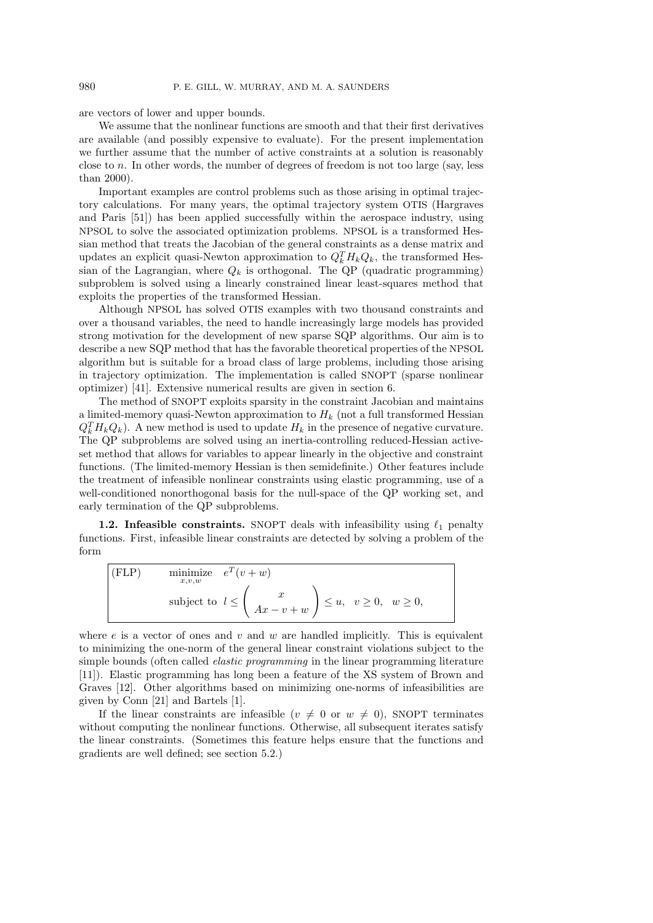are vectors of lower and upper bounds.

We assume that the nonlinear functions are smooth and that their first derivatives are available (and possibly expensive to evaluate). For the present implementation we further assume that the number of active constraints at a solution is reasonably close to n. In other words, the number of degrees of freedom is not too large (say, less than 2000).

Important examples are control problems such as those arising in optimal trajectory calculations. For many years, the optimal trajectory system OTIS (Hargraves and Paris [51]) has been applied successfully within the aerospace industry, using NPSOL to solve the associated optimization problems. NPSOL is a transformed Hessian method that treats the Jacobian of the general constraints as a dense matrix and updates an explicit quasi-Newton approximation to  $Q_k^T H_k Q_k$ , the transformed Hessian of the Lagrangian, where  $Q_k$  is orthogonal. The QP (quadratic programming) subproblem is solved using a linearly constrained linear least-squares method that exploits the properties of the transformed Hessian.

Although NPSOL has solved OTIS examples with two thousand constraints and over a thousand variables, the need to handle increasingly large models has provided strong motivation for the development of new sparse SQP algorithms. Our aim is to describe a new SQP method that has the favorable theoretical properties of the NPSOL algorithm but is suitable for a broad class of large problems, including those arising in trajectory optimization. The implementation is called SNOPT (sparse nonlinear optimizer) [41]. Extensive numerical results are given in section 6.

The method of SNOPT exploits sparsity in the constraint Jacobian and maintains a limited-memory quasi-Newton approximation to  $H_k$  (not a full transformed Hessian  $Q_k^T H_k Q_k$ ). A new method is used to update  $H_k$  in the presence of negative curvature. The QP subproblems are solved using an inertia-controlling reduced-Hessian activeset method that allows for variables to appear linearly in the objective and constraint functions. (The limited-memory Hessian is then semidefinite.) Other features include the treatment of infeasible nonlinear constraints using elastic programming, use of a well-conditioned nonorthogonal basis for the null-space of the QP working set, and early termination of the QP subproblems.

1.2. Infeasible constraints. SNOPT deals with infeasibility using  $\ell_1$  penalty functions. First, infeasible linear constraints are detected by solving a problem of the form

(FLP) minimize 
$$
e^T(v+w)
$$
  
\nsubject to  $l \leq \begin{pmatrix} x \\ Ax - v + w \end{pmatrix} \leq u, \quad v \geq 0, \quad w \geq 0,$ 

where  $e$  is a vector of ones and  $v$  and  $w$  are handled implicitly. This is equivalent to minimizing the one-norm of the general linear constraint violations subject to the simple bounds (often called *elastic programming* in the linear programming literature [11]). Elastic programming has long been a feature of the XS system of Brown and Graves [12]. Other algorithms based on minimizing one-norms of infeasibilities are given by Conn [21] and Bartels [1].

If the linear constraints are infeasible  $(v \neq 0 \text{ or } w \neq 0)$ , SNOPT terminates without computing the nonlinear functions. Otherwise, all subsequent iterates satisfy the linear constraints. (Sometimes this feature helps ensure that the functions and gradients are well defined; see section 5.2.)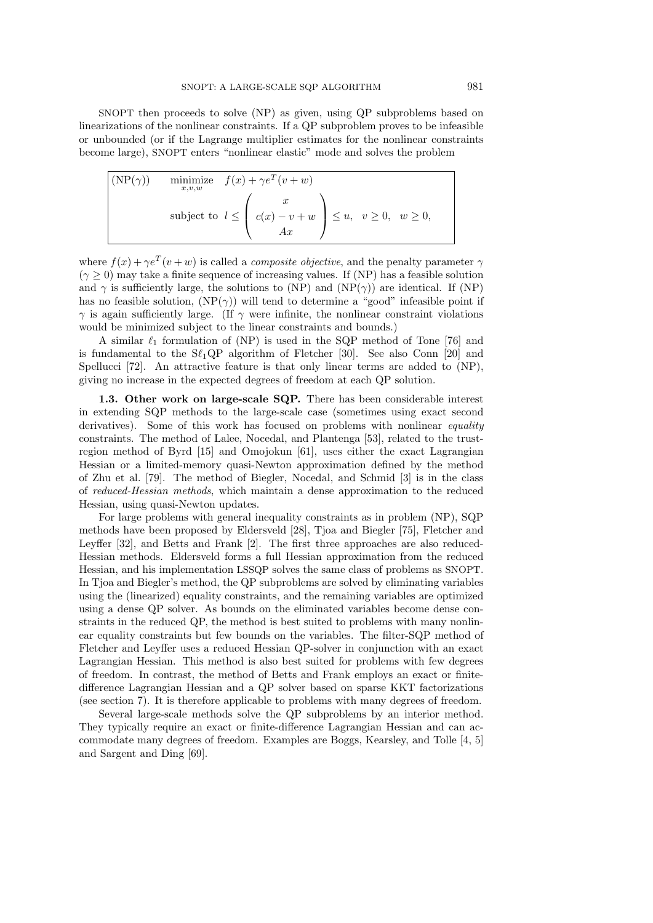SNOPT then proceeds to solve (NP) as given, using QP subproblems based on linearizations of the nonlinear constraints. If a QP subproblem proves to be infeasible or unbounded (or if the Lagrange multiplier estimates for the nonlinear constraints become large), SNOPT enters "nonlinear elastic" mode and solves the problem

| $(NP(\gamma))$ | minimize $f(x) + \gamma e^T (v+w)$                                                                                                    |
|----------------|---------------------------------------------------------------------------------------------------------------------------------------|
|                | $\text{subject to} \;\; l \leq \left( \begin{array}{c} x \\ c(x)-v+w \\ Ax \end{array} \right) \leq u, \;\; v \geq 0, \;\; w \geq 0,$ |

where  $f(x) + \gamma e^T(v+w)$  is called a *composite objective*, and the penalty parameter  $\gamma$  $(\gamma \geq 0)$  may take a finite sequence of increasing values. If (NP) has a feasible solution and  $\gamma$  is sufficiently large, the solutions to (NP) and (NP( $\gamma$ )) are identical. If (NP) has no feasible solution,  $(NP(\gamma))$  will tend to determine a "good" infeasible point if  $\gamma$  is again sufficiently large. (If  $\gamma$  were infinite, the nonlinear constraint violations would be minimized subject to the linear constraints and bounds.)

A similar  $\ell_1$  formulation of (NP) is used in the SQP method of Tone [76] and is fundamental to the  $S\ell_1QP$  algorithm of Fletcher [30]. See also Conn [20] and Spellucci [72]. An attractive feature is that only linear terms are added to (NP), giving no increase in the expected degrees of freedom at each QP solution.

1.3. Other work on large-scale SQP. There has been considerable interest in extending SQP methods to the large-scale case (sometimes using exact second derivatives). Some of this work has focused on problems with nonlinear equality constraints. The method of Lalee, Nocedal, and Plantenga [53], related to the trustregion method of Byrd [15] and Omojokun [61], uses either the exact Lagrangian Hessian or a limited-memory quasi-Newton approximation defined by the method of Zhu et al. [79]. The method of Biegler, Nocedal, and Schmid [3] is in the class of reduced-Hessian methods, which maintain a dense approximation to the reduced Hessian, using quasi-Newton updates.

For large problems with general inequality constraints as in problem (NP), SQP methods have been proposed by Eldersveld [28], Tjoa and Biegler [75], Fletcher and Leyffer [32], and Betts and Frank [2]. The first three approaches are also reduced-Hessian methods. Eldersveld forms a full Hessian approximation from the reduced Hessian, and his implementation LSSQP solves the same class of problems as SNOPT. In Tjoa and Biegler's method, the QP subproblems are solved by eliminating variables using the (linearized) equality constraints, and the remaining variables are optimized using a dense QP solver. As bounds on the eliminated variables become dense constraints in the reduced QP, the method is best suited to problems with many nonlinear equality constraints but few bounds on the variables. The filter-SQP method of Fletcher and Leyffer uses a reduced Hessian QP-solver in conjunction with an exact Lagrangian Hessian. This method is also best suited for problems with few degrees of freedom. In contrast, the method of Betts and Frank employs an exact or finitedifference Lagrangian Hessian and a QP solver based on sparse KKT factorizations (see section 7). It is therefore applicable to problems with many degrees of freedom.

Several large-scale methods solve the QP subproblems by an interior method. They typically require an exact or finite-difference Lagrangian Hessian and can accommodate many degrees of freedom. Examples are Boggs, Kearsley, and Tolle [4, 5] and Sargent and Ding [69].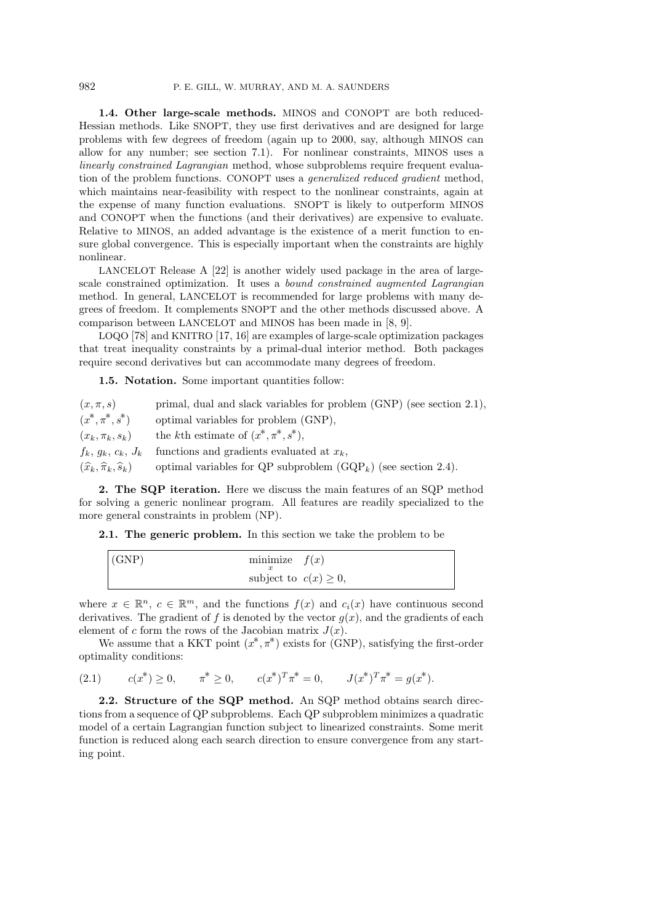1.4. Other large-scale methods. MINOS and CONOPT are both reduced-Hessian methods. Like SNOPT, they use first derivatives and are designed for large problems with few degrees of freedom (again up to 2000, say, although MINOS can allow for any number; see section 7.1). For nonlinear constraints, MINOS uses a linearly constrained Lagrangian method, whose subproblems require frequent evaluation of the problem functions. CONOPT uses a generalized reduced gradient method, which maintains near-feasibility with respect to the nonlinear constraints, again at the expense of many function evaluations. SNOPT is likely to outperform MINOS and CONOPT when the functions (and their derivatives) are expensive to evaluate. Relative to MINOS, an added advantage is the existence of a merit function to ensure global convergence. This is especially important when the constraints are highly nonlinear.

LANCELOT Release A [22] is another widely used package in the area of largescale constrained optimization. It uses a bound constrained augmented Lagrangian method. In general, LANCELOT is recommended for large problems with many degrees of freedom. It complements SNOPT and the other methods discussed above. A comparison between LANCELOT and MINOS has been made in [8, 9].

LOQO [78] and KNITRO [17, 16] are examples of large-scale optimization packages that treat inequality constraints by a primal-dual interior method. Both packages require second derivatives but can accommodate many degrees of freedom.

1.5. Notation. Some important quantities follow:

| $(x,\pi,s)$                                       | primal, dual and slack variables for problem (GNP) (see section 2.1), |
|---------------------------------------------------|-----------------------------------------------------------------------|
| $(x^*, \pi^*, s^*)$                               | optimal variables for problem (GNP),                                  |
| $(x_k, \pi_k, s_k)$                               | the kth estimate of $(x^*, \pi^*, s^*)$ ,                             |
| $f_k, g_k, c_k, J_k$                              | functions and gradients evaluated at $x_k$ ,                          |
| $(\widehat{x}_k, \widehat{\pi}_k, \widehat{s}_k)$ | optimal variables for QP subproblem $(GQP_k)$ (see section 2.4).      |
|                                                   |                                                                       |

2. The SQP iteration. Here we discuss the main features of an SQP method for solving a generic nonlinear program. All features are readily specialized to the more general constraints in problem (NP).

2.1. The generic problem. In this section we take the problem to be

| minimize $f(x)$<br>(GNP)   |  |
|----------------------------|--|
| subject to $c(x) \geq 0$ , |  |

where  $x \in \mathbb{R}^n$ ,  $c \in \mathbb{R}^m$ , and the functions  $f(x)$  and  $c_i(x)$  have continuous second derivatives. The gradient of f is denoted by the vector  $q(x)$ , and the gradients of each element of c form the rows of the Jacobian matrix  $J(x)$ .

We assume that a KKT point  $(x^*, \pi^*)$  exists for (GNP), satisfying the first-order optimality conditions:

 $(2.1)$ <sup>\*</sup>) ≥ 0, π \* ≥ 0,  $c(x^*)^T \pi^* = 0$ ,  $J(x^*)^T \pi^* = g(x^*)$ .

2.2. Structure of the SQP method. An SQP method obtains search directions from a sequence of QP subproblems. Each QP subproblem minimizes a quadratic model of a certain Lagrangian function subject to linearized constraints. Some merit function is reduced along each search direction to ensure convergence from any starting point.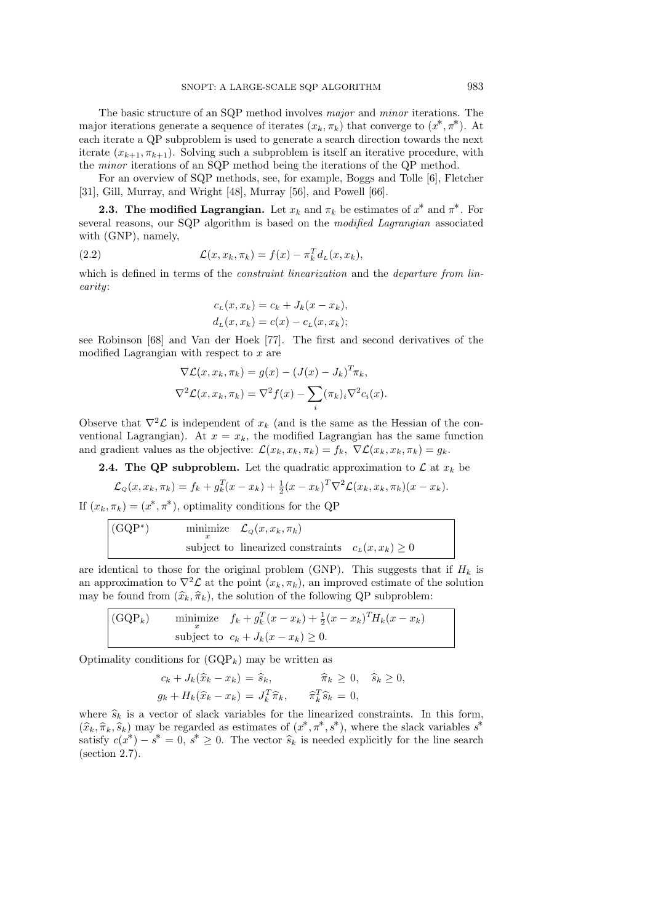The basic structure of an SQP method involves major and minor iterations. The major iterations generate a sequence of iterates  $(x_k, \pi_k)$  that converge to  $(x^*, \pi^*)$ . At each iterate a QP subproblem is used to generate a search direction towards the next iterate  $(x_{k+1}, \pi_{k+1})$ . Solving such a subproblem is itself an iterative procedure, with the minor iterations of an SQP method being the iterations of the QP method.

For an overview of SQP methods, see, for example, Boggs and Tolle [6], Fletcher [31], Gill, Murray, and Wright [48], Murray [56], and Powell [66].

**2.3.** The modified Lagrangian. Let  $x_k$  and  $\pi_k$  be estimates of  $x^*$  and  $\pi^*$ . For several reasons, our SQP algorithm is based on the modified Lagrangian associated with (GNP), namely,

(2.2) 
$$
\mathcal{L}(x, x_k, \pi_k) = f(x) - \pi_k^T d_L(x, x_k),
$$

which is defined in terms of the *constraint linearization* and the *departure from lin*earity:

$$
cL(x, xk) = ck + Jk(x - xk),
$$
  

$$
dL(x, xk) = c(x) - cL(x, xk);
$$

see Robinson [68] and Van der Hoek [77]. The first and second derivatives of the modified Lagrangian with respect to  $x$  are

$$
\nabla \mathcal{L}(x, x_k, \pi_k) = g(x) - (J(x) - J_k)^T \pi_k,
$$
  

$$
\nabla^2 \mathcal{L}(x, x_k, \pi_k) = \nabla^2 f(x) - \sum_i (\pi_k)_i \nabla^2 c_i(x).
$$

Observe that  $\nabla^2 \mathcal{L}$  is independent of  $x_k$  (and is the same as the Hessian of the conventional Lagrangian). At  $x = x_k$ , the modified Lagrangian has the same function and gradient values as the objective:  $\mathcal{L}(x_k, x_k, \pi_k) = f_k$ ,  $\nabla \mathcal{L}(x_k, x_k, \pi_k) = g_k$ .

**2.4. The QP subproblem.** Let the quadratic approximation to  $\mathcal{L}$  at  $x_k$  be

$$
\mathcal{L}_{Q}(x, x_k, \pi_k) = f_k + g_k^T(x - x_k) + \frac{1}{2}(x - x_k)^T \nabla^2 \mathcal{L}(x_k, x_k, \pi_k)(x - x_k).
$$

If  $(x_k, \pi_k) = (x^*, \pi^*)$ , optimality conditions for the QP

(GQP\*) minimize 
$$
\mathcal{L}_{Q}(x, x_k, \pi_k)
$$
  
subject to linearized constraints  $c_L(x, x_k) \ge 0$ 

are identical to those for the original problem (GNP). This suggests that if  $H_k$  is an approximation to  $\nabla^2 \mathcal{L}$  at the point  $(x_k, \pi_k)$ , an improved estimate of the solution may be found from  $(\hat{x}_k, \hat{\pi}_k)$ , the solution of the following QP subproblem:

(GQP<sub>k</sub>) minimize 
$$
f_k + g_k^T(x - x_k) + \frac{1}{2}(x - x_k)^T H_k(x - x_k)
$$
  
subject to  $c_k + J_k(x - x_k) \ge 0$ .

Optimality conditions for  $(GQP_k)$  may be written as

$$
c_k + J_k(\widehat{x}_k - x_k) = \widehat{s}_k, \qquad \widehat{\pi}_k \ge 0, \quad \widehat{s}_k \ge 0,
$$
  

$$
g_k + H_k(\widehat{x}_k - x_k) = J_k^T \widehat{\pi}_k, \qquad \widehat{\pi}_k^T \widehat{s}_k = 0,
$$

where  $\hat{s}_k$  is a vector of slack variables for the linearized constraints. In this form,  $(\hat{x}_k, \hat{\pi}_k, \hat{s}_k)$  may be regarded as estimates of  $(x^*, \pi^*, s^*)$ , where the slack variables  $s^*$ <br>satisfy  $e(x^*) = s^* = 0$ ,  $s^* > 0$ . The vector  $\hat{s}_k$  is needed evolvisity for the line search satisfy  $c(x^*) - s^* = 0$ ,  $s^* \geq 0$ . The vector  $\hat{s}_k$  is needed explicitly for the line search (section 2.7) (section 2.7).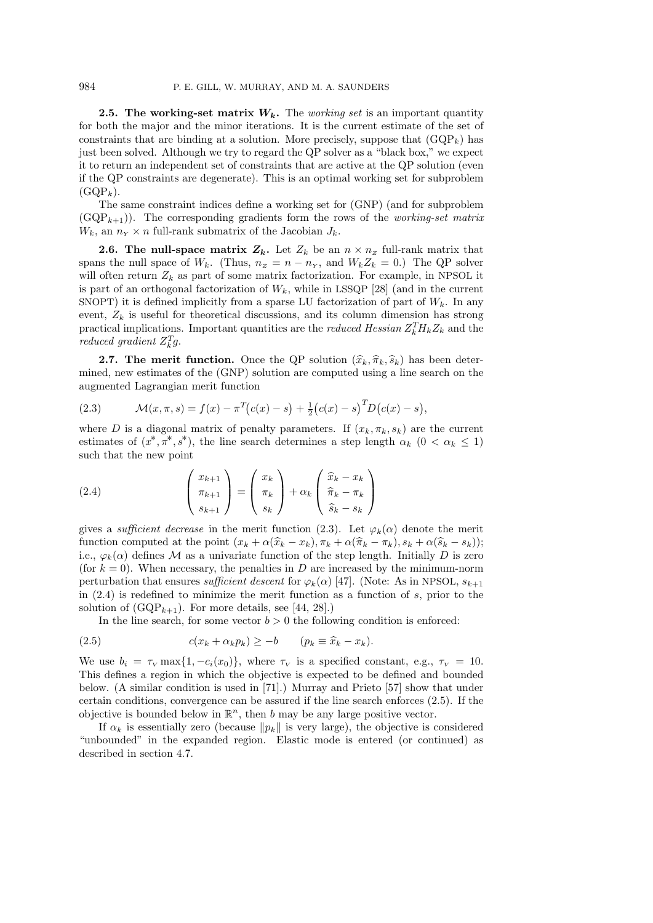**2.5. The working-set matrix**  $W_k$ **.** The working set is an important quantity for both the major and the minor iterations. It is the current estimate of the set of constraints that are binding at a solution. More precisely, suppose that  $(GQP_k)$  has just been solved. Although we try to regard the QP solver as a "black box," we expect it to return an independent set of constraints that are active at the QP solution (even if the QP constraints are degenerate). This is an optimal working set for subproblem  $(GQP_k)$ .

The same constraint indices define a working set for (GNP) (and for subproblem  $(GQP_{k+1})$ . The corresponding gradients form the rows of the *working-set matrix*  $W_k$ , an  $n_Y \times n$  full-rank submatrix of the Jacobian  $J_k$ .

**2.6. The null-space matrix**  $Z_k$ **.** Let  $Z_k$  be an  $n \times n_z$  full-rank matrix that spans the null space of  $W_k$ . (Thus,  $n_z = n - n_Y$ , and  $W_k Z_k = 0$ .) The QP solver will often return  $Z_k$  as part of some matrix factorization. For example, in NPSOL it is part of an orthogonal factorization of  $W_k$ , while in LSSQP [28] (and in the current SNOPT) it is defined implicitly from a sparse LU factorization of part of  $W_k$ . In any event,  $Z_k$  is useful for theoretical discussions, and its column dimension has strong practical implications. Important quantities are the *reduced Hessian*  $Z_k^T H_k Z_k$  and the reduced gradient  $Z_k^T g$ .

**2.7. The merit function.** Once the QP solution  $(\hat{x}_k, \hat{\pi}_k, \hat{s}_k)$  has been determined, new estimates of the (GNP) solution are computed using a line search on the augmented Lagrangian merit function

(2.3) 
$$
\mathcal{M}(x,\pi,s) = f(x) - \pi^T(c(x) - s) + \frac{1}{2}(c(x) - s)^T D(c(x) - s),
$$

where D is a diagonal matrix of penalty parameters. If  $(x_k, \pi_k, s_k)$  are the current estimates of  $(x^*, \pi^*, s^*)$ , the line search determines a step length  $\alpha_k$   $(0 < \alpha_k \le 1)$ such that the new point

(2.4) 
$$
\begin{pmatrix} x_{k+1} \\ \pi_{k+1} \\ s_{k+1} \end{pmatrix} = \begin{pmatrix} x_k \\ \pi_k \\ s_k \end{pmatrix} + \alpha_k \begin{pmatrix} \hat{x}_k - x_k \\ \hat{\pi}_k - \pi_k \\ \hat{s}_k - s_k \end{pmatrix}
$$

gives a *sufficient decrease* in the merit function (2.3). Let  $\varphi_k(\alpha)$  denote the merit function computed at the point  $(x_k + \alpha(\hat{x}_k - x_k), \pi_k + \alpha(\hat{\pi}_k - \pi_k), s_k + \alpha(\hat{s}_k - s_k));$ i.e.,  $\varphi_k(\alpha)$  defines M as a univariate function of the step length. Initially D is zero (for  $k = 0$ ). When necessary, the penalties in D are increased by the minimum-norm perturbation that ensures sufficient descent for  $\varphi_k(\alpha)$  [47]. (Note: As in NPSOL,  $s_{k+1}$ in  $(2.4)$  is redefined to minimize the merit function as a function of s, prior to the solution of  $(\text{GQP}_{k+1})$ . For more details, see [44, 28].)

In the line search, for some vector  $b > 0$  the following condition is enforced:

(2.5) 
$$
c(x_k + \alpha_k p_k) \geq -b \qquad (p_k \equiv \widehat{x}_k - x_k).
$$

We use  $b_i = \tau_V \max\{1, -c_i(x_0)\}\$ , where  $\tau_V$  is a specified constant, e.g.,  $\tau_V = 10$ . This defines a region in which the objective is expected to be defined and bounded below. (A similar condition is used in [71].) Murray and Prieto [57] show that under certain conditions, convergence can be assured if the line search enforces (2.5). If the objective is bounded below in  $\mathbb{R}^n$ , then b may be any large positive vector.

If  $\alpha_k$  is essentially zero (because  $\|p_k\|$  is very large), the objective is considered "unbounded" in the expanded region. Elastic mode is entered (or continued) as described in section 4.7.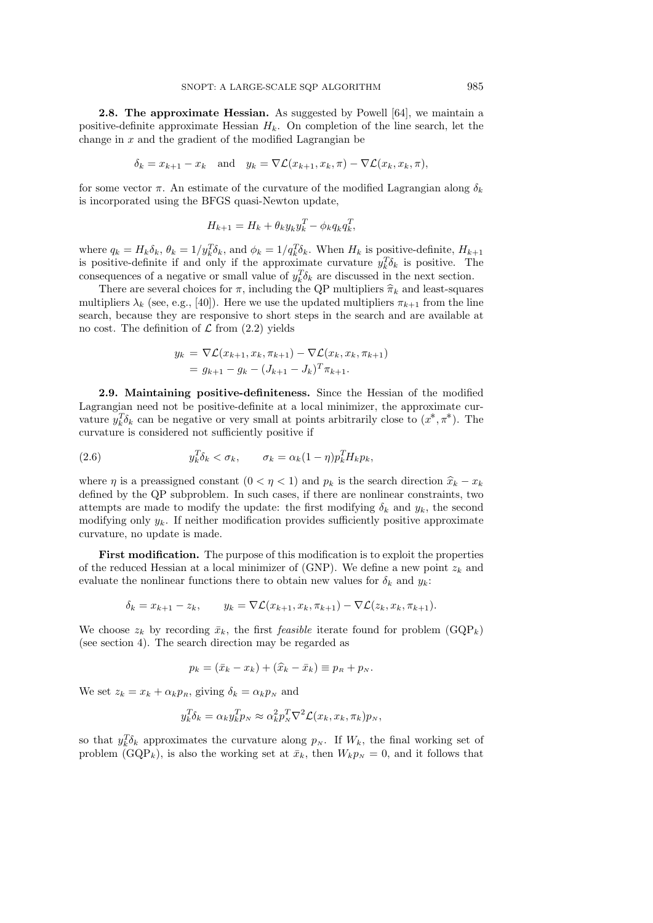2.8. The approximate Hessian. As suggested by Powell [64], we maintain a positive-definite approximate Hessian  $H_k$ . On completion of the line search, let the change in  $x$  and the gradient of the modified Lagrangian be

$$
\delta_k = x_{k+1} - x_k \quad \text{and} \quad y_k = \nabla \mathcal{L}(x_{k+1}, x_k, \pi) - \nabla \mathcal{L}(x_k, x_k, \pi),
$$

for some vector  $\pi$ . An estimate of the curvature of the modified Lagrangian along  $\delta_k$ is incorporated using the BFGS quasi-Newton update,

$$
H_{k+1} = H_k + \theta_k y_k y_k^T - \phi_k q_k q_k^T,
$$

where  $q_k = H_k \delta_k$ ,  $\theta_k = 1/y_k^T \delta_k$ , and  $\phi_k = 1/q_k^T \delta_k$ . When  $H_k$  is positive-definite,  $H_{k+1}$ is positive-definite if and only if the approximate curvature  $y_k^T \delta_k$  is positive. The consequences of a negative or small value of  $y_k^T \delta_k$  are discussed in the next section.

There are several choices for  $\pi$ , including the QP multipliers  $\hat{\pi}_k$  and least-squares multipliers  $\lambda_k$  (see, e.g., [40]). Here we use the updated multipliers  $\pi_{k+1}$  from the line search, because they are responsive to short steps in the search and are available at no cost. The definition of  $\mathcal L$  from  $(2.2)$  yields

$$
y_k = \nabla \mathcal{L}(x_{k+1}, x_k, \pi_{k+1}) - \nabla \mathcal{L}(x_k, x_k, \pi_{k+1})
$$
  
=  $g_{k+1} - g_k - (J_{k+1} - J_k)^T \pi_{k+1}.$ 

2.9. Maintaining positive-definiteness. Since the Hessian of the modified Lagrangian need not be positive-definite at a local minimizer, the approximate curvature  $y_k^T \delta_k$  can be negative or very small at points arbitrarily close to  $(x^*, \pi^*)$ . The curvature is considered not sufficiently positive if

(2.6) 
$$
y_k^T \delta_k < \sigma_k, \qquad \sigma_k = \alpha_k (1 - \eta) p_k^T H_k p_k,
$$

where  $\eta$  is a preassigned constant  $(0 < \eta < 1)$  and  $p_k$  is the search direction  $\hat{x}_k - x_k$ defined by the QP subproblem. In such cases, if there are nonlinear constraints, two attempts are made to modify the update: the first modifying  $\delta_k$  and  $y_k$ , the second modifying only  $y_k$ . If neither modification provides sufficiently positive approximate curvature, no update is made.

First modification. The purpose of this modification is to exploit the properties of the reduced Hessian at a local minimizer of (GNP). We define a new point  $z_k$  and evaluate the nonlinear functions there to obtain new values for  $\delta_k$  and  $y_k$ :

$$
\delta_k = x_{k+1} - z_k, \qquad y_k = \nabla \mathcal{L}(x_{k+1}, x_k, \pi_{k+1}) - \nabla \mathcal{L}(z_k, x_k, \pi_{k+1}).
$$

We choose  $z_k$  by recording  $\bar{x}_k$ , the first *feasible* iterate found for problem  $(GQP_k)$ (see section 4). The search direction may be regarded as

$$
p_k = (\bar{x}_k - x_k) + (\widehat{x}_k - \bar{x}_k) \equiv p_n + p_N.
$$

We set  $z_k = x_k + \alpha_k p_k$ , giving  $\delta_k = \alpha_k p_k$  and

$$
y_k^T \delta_k = \alpha_k y_k^T p_N \approx \alpha_k^2 p_N^T \nabla^2 \mathcal{L}(x_k, x_k, \pi_k) p_N,
$$

so that  $y_k^T \delta_k$  approximates the curvature along  $p_N$ . If  $W_k$ , the final working set of problem (GQP<sub>k</sub>), is also the working set at  $\bar{x}_k$ , then  $W_k p_N = 0$ , and it follows that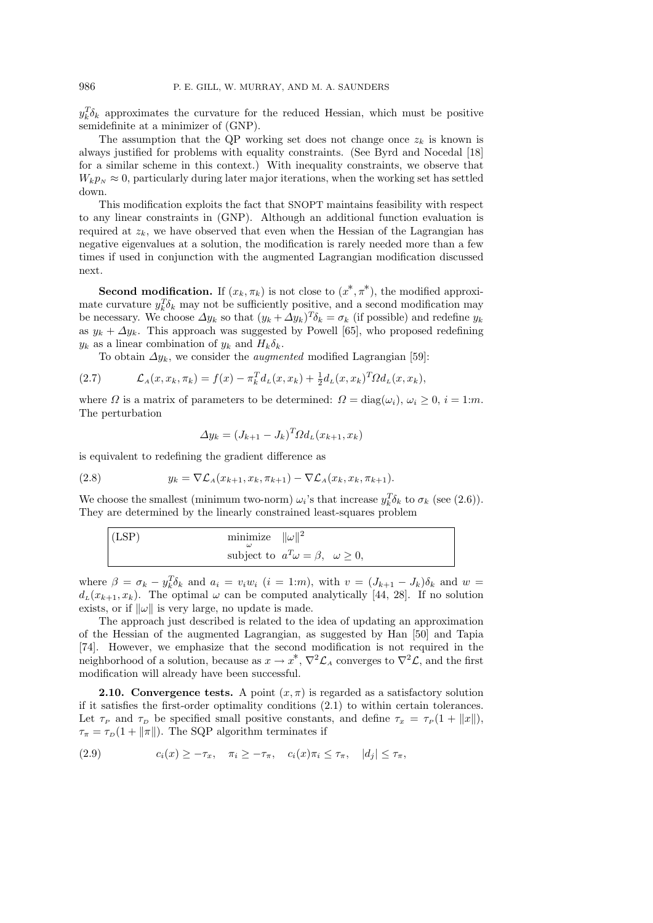$y_k^T \delta_k$  approximates the curvature for the reduced Hessian, which must be positive semidefinite at a minimizer of (GNP).

The assumption that the QP working set does not change once  $z_k$  is known is always justified for problems with equality constraints. (See Byrd and Nocedal [18] for a similar scheme in this context.) With inequality constraints, we observe that  $W_k p_N \approx 0$ , particularly during later major iterations, when the working set has settled down.

This modification exploits the fact that SNOPT maintains feasibility with respect to any linear constraints in (GNP). Although an additional function evaluation is required at  $z_k$ , we have observed that even when the Hessian of the Lagrangian has negative eigenvalues at a solution, the modification is rarely needed more than a few times if used in conjunction with the augmented Lagrangian modification discussed next.

**Second modification.** If  $(x_k, \pi_k)$  is not close to  $(x^*, \pi^*)$ , the modified approximate curvature  $y_k^T \delta_k$  may not be sufficiently positive, and a second modification may be necessary. We choose  $\Delta y_k$  so that  $(y_k + \Delta y_k)^T \delta_k = \sigma_k$  (if possible) and redefine  $y_k$ as  $y_k + \Delta y_k$ . This approach was suggested by Powell [65], who proposed redefining  $y_k$  as a linear combination of  $y_k$  and  $H_k \delta_k$ .

To obtain  $\Delta y_k$ , we consider the *augmented* modified Lagrangian [59]:

(2.7) 
$$
\mathcal{L}_A(x, x_k, \pi_k) = f(x) - \pi_k^T d_L(x, x_k) + \frac{1}{2} d_L(x, x_k)^T \Omega d_L(x, x_k),
$$

where  $\Omega$  is a matrix of parameters to be determined:  $\Omega = \text{diag}(\omega_i)$ ,  $\omega_i \geq 0$ ,  $i = 1:m$ . The perturbation

$$
\Delta y_k = (J_{k+1} - J_k)^T \Omega d_L(x_{k+1}, x_k)
$$

is equivalent to redefining the gradient difference as

$$
(2.8) \t y_k = \nabla \mathcal{L}_A(x_{k+1}, x_k, \pi_{k+1}) - \nabla \mathcal{L}_A(x_k, x_k, \pi_{k+1}).
$$

We choose the smallest (minimum two-norm)  $\omega_i$ 's that increase  $y_k^T \delta_k$  to  $\sigma_k$  (see (2.6)). They are determined by the linearly constrained least-squares problem

$$
\begin{cases}\n(\text{LSP}) & \text{minimize } ||\omega||^2 \\
\text{subject to } a^T \omega = \beta, & \omega \ge 0,\n\end{cases}
$$

where  $\beta = \sigma_k - y_k^T \delta_k$  and  $a_i = v_i w_i$   $(i = 1:m)$ , with  $v = (J_{k+1} - J_k)\delta_k$  and  $w =$  $d_L(x_{k+1}, x_k)$ . The optimal  $\omega$  can be computed analytically [44, 28]. If no solution exists, or if  $\|\omega\|$  is very large, no update is made.

The approach just described is related to the idea of updating an approximation of the Hessian of the augmented Lagrangian, as suggested by Han [50] and Tapia [74]. However, we emphasize that the second modification is not required in the neighborhood of a solution, because as  $x \to x^*$ ,  $\nabla^2 \mathcal{L}_A$  converges to  $\nabla^2 \mathcal{L}$ , and the first modification will already have been successful.

**2.10.** Convergence tests. A point  $(x, \pi)$  is regarded as a satisfactory solution if it satisfies the first-order optimality conditions (2.1) to within certain tolerances. Let  $\tau_P$  and  $\tau_D$  be specified small positive constants, and define  $\tau_x = \tau_P (1 + ||x||)$ ,  $\tau_{\pi} = \tau_D(1 + ||\pi||)$ . The SQP algorithm terminates if

(2.9) 
$$
c_i(x) \geq -\tau_x, \quad \pi_i \geq -\tau_\pi, \quad c_i(x)\pi_i \leq \tau_\pi, \quad |d_j| \leq \tau_\pi,
$$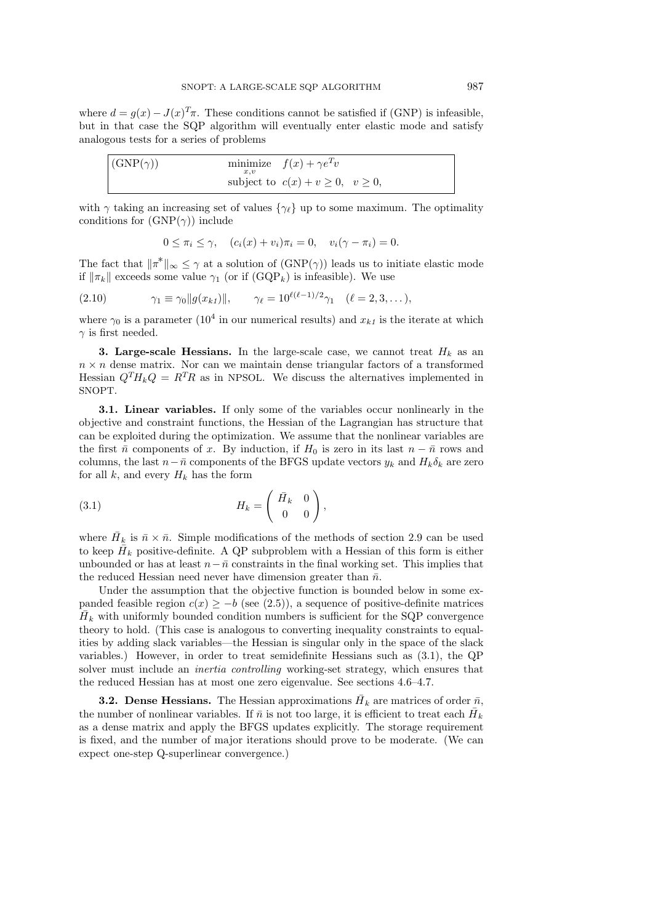where  $d = g(x) - J(x)^{T}\pi$ . These conditions cannot be satisfied if (GNP) is infeasible, but in that case the SQP algorithm will eventually enter elastic mode and satisfy analogous tests for a series of problems

| $\vert$ (GNP( $\gamma$ )) | x.v | minimize $f(x) + \gamma e^T v$              |
|---------------------------|-----|---------------------------------------------|
|                           |     | subject to $c(x) + v \geq 0$ , $v \geq 0$ , |

with  $\gamma$  taking an increasing set of values  $\{\gamma_{\ell}\}\$ up to some maximum. The optimality conditions for  $(GNP(\gamma))$  include

$$
0 \leq \pi_i \leq \gamma, \quad (c_i(x) + v_i)\pi_i = 0, \quad v_i(\gamma - \pi_i) = 0.
$$

The fact that  $\|\pi^*\|_{\infty} \leq \gamma$  at a solution of  $(\text{GNP}(\gamma))$  leads us to initiate elastic mode if  $\|\pi_k\|$  exceeds some value  $\gamma_1$  (or if  $(GQP_k)$ ) is infeasible). We use

(2.10) 
$$
\gamma_1 \equiv \gamma_0 \|g(x_{k1})\|, \qquad \gamma_\ell = 10^{\ell(\ell-1)/2} \gamma_1 \quad (\ell = 2, 3, \dots),
$$

where  $\gamma_0$  is a parameter (10<sup>4</sup> in our numerical results) and  $x_{k1}$  is the iterate at which  $\gamma$  is first needed.

**3. Large-scale Hessians.** In the large-scale case, we cannot treat  $H_k$  as an  $n \times n$  dense matrix. Nor can we maintain dense triangular factors of a transformed Hessian  $Q^T H_k Q = R^T R$  as in NPSOL. We discuss the alternatives implemented in SNOPT.

3.1. Linear variables. If only some of the variables occur nonlinearly in the objective and constraint functions, the Hessian of the Lagrangian has structure that can be exploited during the optimization. We assume that the nonlinear variables are the first  $\bar{n}$  components of x. By induction, if  $H_0$  is zero in its last  $n - \bar{n}$  rows and columns, the last  $n-\bar{n}$  components of the BFGS update vectors  $y_k$  and  $H_k\delta_k$  are zero for all  $k$ , and every  $H_k$  has the form

$$
(3.1) \t\t H_k = \begin{pmatrix} \bar{H}_k & 0 \\ 0 & 0 \end{pmatrix},
$$

where  $\bar{H}_k$  is  $\bar{n} \times \bar{n}$ . Simple modifications of the methods of section 2.9 can be used to keep  $\bar{H}_k$  positive-definite. A QP subproblem with a Hessian of this form is either unbounded or has at least  $n-\bar{n}$  constraints in the final working set. This implies that the reduced Hessian need never have dimension greater than  $\bar{n}$ .

Under the assumption that the objective function is bounded below in some expanded feasible region  $c(x) \geq -b$  (see (2.5)), a sequence of positive-definite matrices  $\bar{H}_k$  with uniformly bounded condition numbers is sufficient for the SQP convergence theory to hold. (This case is analogous to converting inequality constraints to equalities by adding slack variables—the Hessian is singular only in the space of the slack variables.) However, in order to treat semidefinite Hessians such as (3.1), the QP solver must include an inertia controlling working-set strategy, which ensures that the reduced Hessian has at most one zero eigenvalue. See sections 4.6–4.7.

**3.2.** Dense Hessians. The Hessian approximations  $\bar{H}_k$  are matrices of order  $\bar{n}$ , the number of nonlinear variables. If  $\bar{n}$  is not too large, it is efficient to treat each  $\bar{H}_k$ as a dense matrix and apply the BFGS updates explicitly. The storage requirement is fixed, and the number of major iterations should prove to be moderate. (We can expect one-step Q-superlinear convergence.)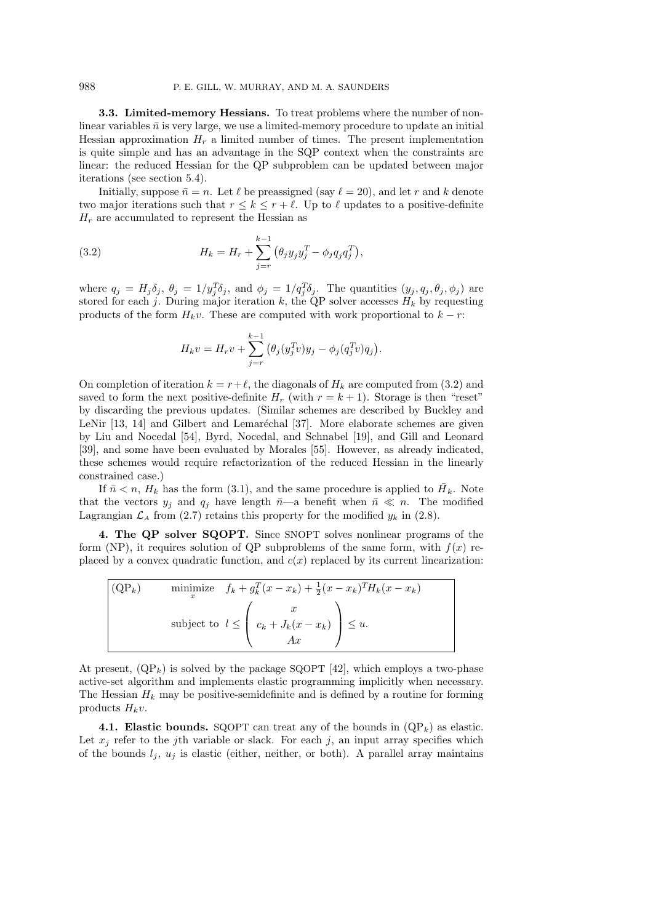3.3. Limited-memory Hessians. To treat problems where the number of nonlinear variables  $\bar{n}$  is very large, we use a limited-memory procedure to update an initial Hessian approximation  $H_r$  a limited number of times. The present implementation is quite simple and has an advantage in the SQP context when the constraints are linear: the reduced Hessian for the QP subproblem can be updated between major iterations (see section 5.4).

Initially, suppose  $\bar{n} = n$ . Let  $\ell$  be preassigned (say  $\ell = 20$ ), and let r and k denote two major iterations such that  $r \leq k \leq r + \ell$ . Up to  $\ell$  updates to a positive-definite  $H_r$  are accumulated to represent the Hessian as

(3.2) 
$$
H_k = H_r + \sum_{j=r}^{k-1} (\theta_j y_j y_j^T - \phi_j q_j q_j^T),
$$

where  $q_j = H_j \delta_j$ ,  $\theta_j = 1/y_j^T \delta_j$ , and  $\phi_j = 1/q_j^T \delta_j$ . The quantities  $(y_j, q_j, \theta_j, \phi_j)$  are stored for each j. During major iteration k, the QP solver accesses  $H_k$  by requesting products of the form  $H_kv$ . These are computed with work proportional to  $k - r$ :

$$
H_k v = H_r v + \sum_{j=r}^{k-1} (\theta_j(y_j^T v) y_j - \phi_j(q_j^T v) q_j).
$$

On completion of iteration  $k = r+\ell$ , the diagonals of  $H_k$  are computed from (3.2) and saved to form the next positive-definite  $H_r$  (with  $r = k + 1$ ). Storage is then "reset" by discarding the previous updates. (Similar schemes are described by Buckley and LeNir [13, 14] and Gilbert and Lemaréchal [37]. More elaborate schemes are given by Liu and Nocedal [54], Byrd, Nocedal, and Schnabel [19], and Gill and Leonard [39], and some have been evaluated by Morales [55]. However, as already indicated, these schemes would require refactorization of the reduced Hessian in the linearly constrained case.)

If  $\bar{n} < n$ ,  $H_k$  has the form (3.1), and the same procedure is applied to  $\bar{H}_k$ . Note that the vectors  $y_j$  and  $q_j$  have length  $\bar{n}$ —a benefit when  $\bar{n} \ll n$ . The modified Lagrangian  $\mathcal{L}_A$  from (2.7) retains this property for the modified  $y_k$  in (2.8).

4. The QP solver SQOPT. Since SNOPT solves nonlinear programs of the form (NP), it requires solution of QP subproblems of the same form, with  $f(x)$  replaced by a convex quadratic function, and  $c(x)$  replaced by its current linearization:

(QP<sub>k</sub>) minimize 
$$
f_k + g_k^T(x - x_k) + \frac{1}{2}(x - x_k)^T H_k(x - x_k)
$$
  
subject to  $l \leq \begin{pmatrix} x \\ c_k + J_k(x - x_k) \\ Ax \end{pmatrix} \leq u$ .

At present,  $(QP_k)$  is solved by the package SQOPT [42], which employs a two-phase active-set algorithm and implements elastic programming implicitly when necessary. The Hessian  $H_k$  may be positive-semidefinite and is defined by a routine for forming products  $H_k v$ .

4.1. Elastic bounds. SQOPT can treat any of the bounds in  $(QP_k)$  as elastic. Let  $x_i$  refer to the jth variable or slack. For each j, an input array specifies which of the bounds  $l_i$ ,  $u_j$  is elastic (either, neither, or both). A parallel array maintains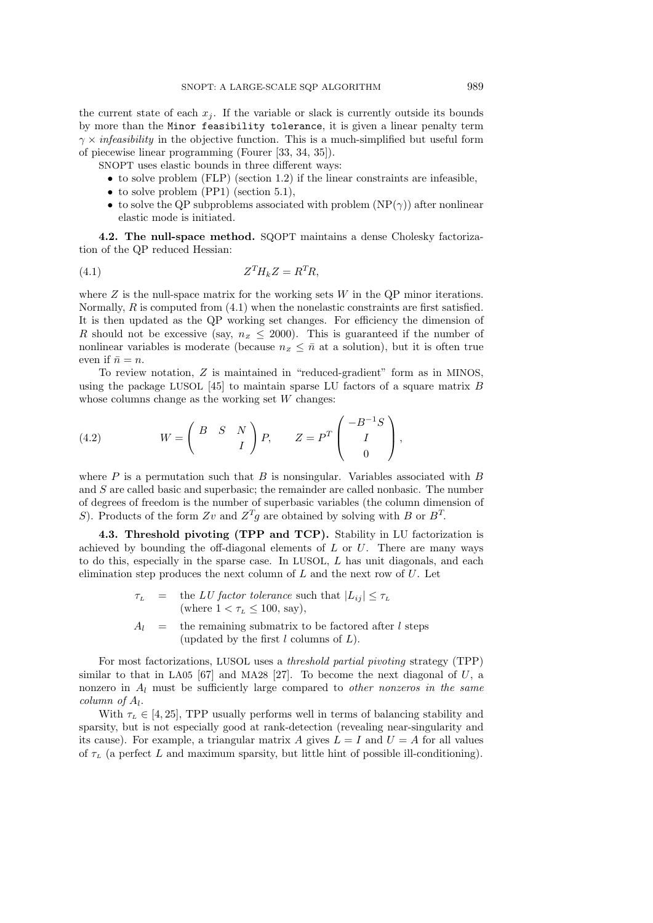the current state of each  $x_j$ . If the variable or slack is currently outside its bounds by more than the Minor feasibility tolerance, it is given a linear penalty term  $\gamma \times \text{infeasibility}$  in the objective function. This is a much-simplified but useful form of piecewise linear programming (Fourer [33, 34, 35]).

SNOPT uses elastic bounds in three different ways:

- to solve problem (FLP) (section 1.2) if the linear constraints are infeasible,
- to solve problem (PP1) (section 5.1),
- to solve the QP subproblems associated with problem  $(NP(\gamma))$  after nonlinear elastic mode is initiated.

4.2. The null-space method. SQOPT maintains a dense Cholesky factorization of the QP reduced Hessian:

$$
(4.1) \t\t ZTHkZ = RTR,
$$

where  $Z$  is the null-space matrix for the working sets  $W$  in the QP minor iterations. Normally, R is computed from  $(4.1)$  when the nonelastic constraints are first satisfied. It is then updated as the QP working set changes. For efficiency the dimension of R should not be excessive (say,  $n_z \leq 2000$ ). This is guaranteed if the number of nonlinear variables is moderate (because  $n_z \leq \bar{n}$  at a solution), but it is often true even if  $\bar{n} = n$ .

To review notation, Z is maintained in "reduced-gradient" form as in MINOS, using the package LUSOL  $[45]$  to maintain sparse LU factors of a square matrix B whose columns change as the working set W changes:

(4.2) 
$$
W = \begin{pmatrix} B & S & N \\ & & I \end{pmatrix} P, \qquad Z = P^T \begin{pmatrix} -B^{-1}S \\ I \\ 0 \end{pmatrix},
$$

where  $P$  is a permutation such that  $B$  is nonsingular. Variables associated with  $B$ and S are called basic and superbasic; the remainder are called nonbasic. The number of degrees of freedom is the number of superbasic variables (the column dimension of S). Products of the form Zv and  $Z^T g$  are obtained by solving with B or  $B^T$ .

4.3. Threshold pivoting (TPP and TCP). Stability in LU factorization is achieved by bounding the off-diagonal elements of  $L$  or  $U$ . There are many ways to do this, especially in the sparse case. In LUSOL, L has unit diagonals, and each elimination step produces the next column of  $L$  and the next row of  $U$ . Let

- $\tau_L$  = the LU factor tolerance such that  $|L_{ij}| \leq \tau_L$ (where  $1 < \tau_L \leq 100$ , say),
- $A_l$  = the remaining submatrix to be factored after l steps (updated by the first  $l$  columns of  $L$ ).

For most factorizations, LUSOL uses a threshold partial pivoting strategy (TPP) similar to that in LA05  $[67]$  and MA28  $[27]$ . To become the next diagonal of U, a nonzero in  $A_l$  must be sufficiently large compared to *other nonzeros in the same*  $column \ of \ A_l.$ 

With  $\tau_L \in [4, 25]$ , TPP usually performs well in terms of balancing stability and sparsity, but is not especially good at rank-detection (revealing near-singularity and its cause). For example, a triangular matrix A gives  $L = I$  and  $U = A$  for all values of  $\tau_L$  (a perfect L and maximum sparsity, but little hint of possible ill-conditioning).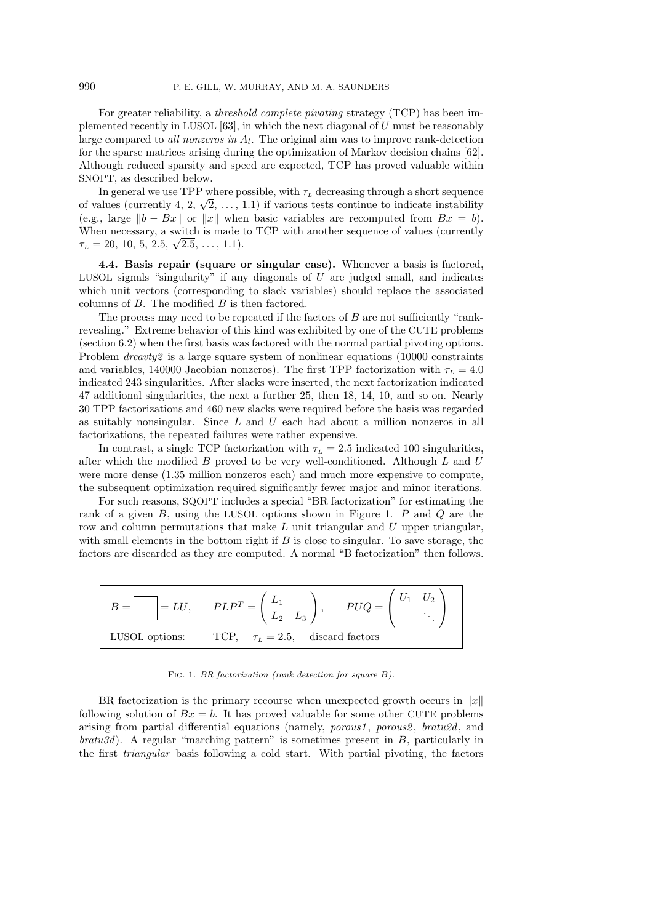For greater reliability, a threshold complete pivoting strategy (TCP) has been implemented recently in LUSOL  $[63]$ , in which the next diagonal of U must be reasonably large compared to *all nonzeros in*  $A_l$ . The original aim was to improve rank-detection for the sparse matrices arising during the optimization of Markov decision chains [62]. Although reduced sparsity and speed are expected, TCP has proved valuable within SNOPT, as described below.

In general we use TPP where possible, with  $\tau_L$  decreasing through a short sequence In general we use TPP where possible, with  $\tau_L$  decreasing through a short sequence<br>of values (currently 4, 2,  $\sqrt{2}$ , ..., 1.1) if various tests continue to indicate instability (e.g., large  $||b - Bx||$  or  $||x||$  when basic variables are recomputed from  $Bx = b$ ). When necessary, a switch is made to TCP with another sequence of values (currently when necessary, a switch is made  $\tau_L = 20, 10, 5, 2.5, \sqrt{2.5}, \dots, 1.1$ .

4.4. Basis repair (square or singular case). Whenever a basis is factored, LUSOL signals "singularity" if any diagonals of  $U$  are judged small, and indicates which unit vectors (corresponding to slack variables) should replace the associated columns of  $B$ . The modified  $B$  is then factored.

The process may need to be repeated if the factors of  $B$  are not sufficiently "rankrevealing." Extreme behavior of this kind was exhibited by one of the CUTE problems (section 6.2) when the first basis was factored with the normal partial pivoting options. Problem  $dravv2$  is a large square system of nonlinear equations (10000 constraints and variables, 140000 Jacobian nonzeros). The first TPP factorization with  $\tau_L = 4.0$ indicated 243 singularities. After slacks were inserted, the next factorization indicated 47 additional singularities, the next a further 25, then 18, 14, 10, and so on. Nearly 30 TPP factorizations and 460 new slacks were required before the basis was regarded as suitably nonsingular. Since  $L$  and  $U$  each had about a million nonzeros in all factorizations, the repeated failures were rather expensive.

In contrast, a single TCP factorization with  $\tau_L = 2.5$  indicated 100 singularities, after which the modified  $B$  proved to be very well-conditioned. Although  $L$  and  $U$ were more dense (1.35 million nonzeros each) and much more expensive to compute, the subsequent optimization required significantly fewer major and minor iterations.

For such reasons, SQOPT includes a special "BR factorization" for estimating the rank of a given  $B$ , using the LUSOL options shown in Figure 1.  $P$  and  $Q$  are the row and column permutations that make  $L$  unit triangular and  $U$  upper triangular, with small elements in the bottom right if  $B$  is close to singular. To save storage, the factors are discarded as they are computed. A normal "B factorization" then follows.

|                | $\overline{D}U\overline{O}$<br>$\big\vert =LU,\qquad PLP^T=\left(\begin{array}{cc} L_1\ L_2 & L_3 \end{array}\right),$ |
|----------------|------------------------------------------------------------------------------------------------------------------------|
| LUSOL options: | TCP, $\tau_L = 2.5$ , discard factors                                                                                  |

FIG. 1. BR factorization (rank detection for square B).

BR factorization is the primary recourse when unexpected growth occurs in  $||x||$ following solution of  $Bx = b$ . It has proved valuable for some other CUTE problems arising from partial differential equations (namely, porous1, porous2, bratu2d, and  $bratu3d$ ). A regular "marching pattern" is sometimes present in  $B$ , particularly in the first triangular basis following a cold start. With partial pivoting, the factors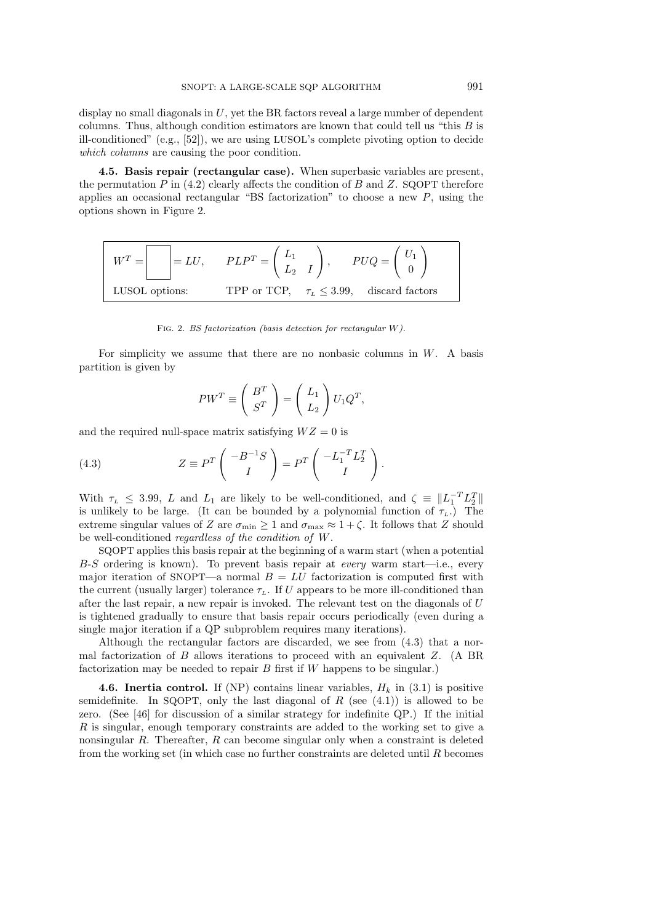display no small diagonals in  $U$ , yet the BR factors reveal a large number of dependent columns. Thus, although condition estimators are known that could tell us "this  $B$  is ill-conditioned" (e.g., [52]), we are using LUSOL's complete pivoting option to decide which columns are causing the poor condition.

4.5. Basis repair (rectangular case). When superbasic variables are present, the permutation  $P$  in (4.2) clearly affects the condition of  $B$  and  $Z$ . SQOPT therefore applies an occasional rectangular "BS factorization" to choose a new  $P$ , using the options shown in Figure 2.

$$
WT = \boxed{\phantom{000000000}} = LU, \qquad PLPT = \begin{pmatrix} L_1 \\ L_2 & I \end{pmatrix}, \qquad PUQ = \begin{pmatrix} U_1 \\ 0 \end{pmatrix}
$$
  
LUSOL options: TPP or TCP,  $\tau_L \leq 3.99$ , discard factors

Fig. 2. BS factorization (basis detection for rectangular W).

For simplicity we assume that there are no nonbasic columns in  $W$ . A basis partition is given by

$$
PW^T \equiv \left(\begin{array}{c} B^T \\ S^T \end{array}\right) = \left(\begin{array}{c} L_1 \\ L_2 \end{array}\right) U_1 Q^T,
$$

and the required null-space matrix satisfying  $WZ = 0$  is

(4.3) 
$$
Z \equiv P^T \begin{pmatrix} -B^{-1}S \\ I \end{pmatrix} = P^T \begin{pmatrix} -L_1^{-T}L_2^T \\ I \end{pmatrix}.
$$

With  $\tau_L \leq 3.99$ , L and  $L_1$  are likely to be well-conditioned, and  $\zeta = ||L_1^{-T}L_2^T||$ is unlikely to be large. (It can be bounded by a polynomial function of  $\tau_L$ .) The extreme singular values of Z are  $\sigma_{\min} \geq 1$  and  $\sigma_{\max} \approx 1 + \zeta$ . It follows that Z should be well-conditioned regardless of the condition of W.

SQOPT applies this basis repair at the beginning of a warm start (when a potential B-S ordering is known). To prevent basis repair at every warm start—i.e., every major iteration of SNOPT—a normal  $B = LU$  factorization is computed first with the current (usually larger) tolerance  $\tau_L$ . If U appears to be more ill-conditioned than after the last repair, a new repair is invoked. The relevant test on the diagonals of U is tightened gradually to ensure that basis repair occurs periodically (even during a single major iteration if a QP subproblem requires many iterations).

Although the rectangular factors are discarded, we see from (4.3) that a normal factorization of  $B$  allows iterations to proceed with an equivalent  $Z$ . (A BR factorization may be needed to repair  $B$  first if  $W$  happens to be singular.)

**4.6. Inertia control.** If (NP) contains linear variables,  $H_k$  in (3.1) is positive semidefinite. In SQOPT, only the last diagonal of  $R$  (see  $(4.1)$ ) is allowed to be zero. (See [46] for discussion of a similar strategy for indefinite QP.) If the initial R is singular, enough temporary constraints are added to the working set to give a nonsingular R. Thereafter, R can become singular only when a constraint is deleted from the working set (in which case no further constraints are deleted until  $R$  becomes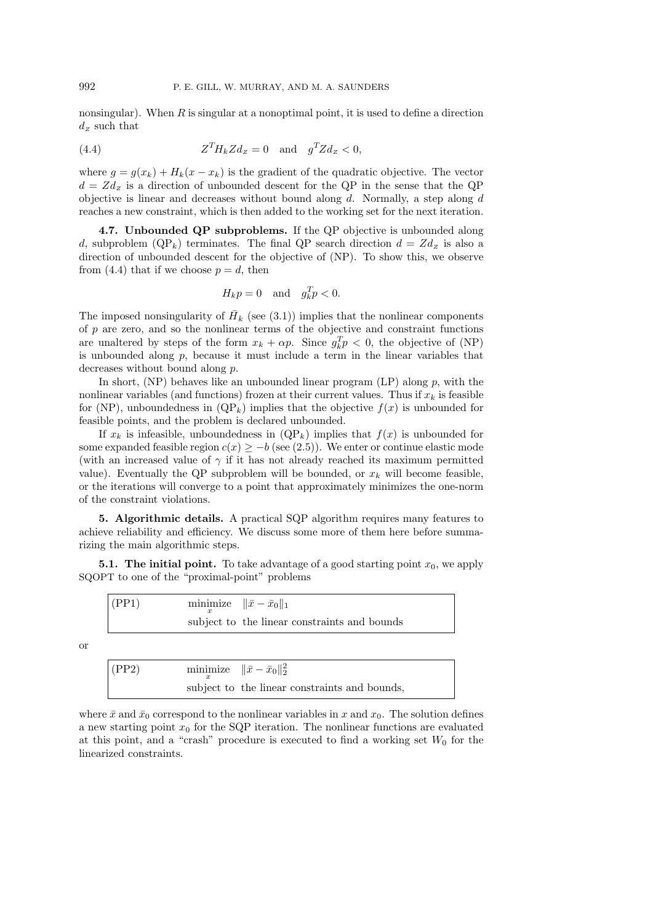nonsingular). When  $R$  is singular at a nonoptimal point, it is used to define a direction  $d_z$  such that

(4.4) 
$$
Z^T H_k Z d_z = 0 \text{ and } g^T Z d_z < 0,
$$

where  $g = g(x_k) + H_k(x - x_k)$  is the gradient of the quadratic objective. The vector  $d = Zd_z$  is a direction of unbounded descent for the QP in the sense that the QP objective is linear and decreases without bound along  $d$ . Normally, a step along  $d$ reaches a new constraint, which is then added to the working set for the next iteration.

4.7. Unbounded QP subproblems. If the QP objective is unbounded along d, subproblem (QP<sub>k</sub>) terminates. The final QP search direction  $d = Zd_z$  is also a direction of unbounded descent for the objective of (NP). To show this, we observe from (4.4) that if we choose  $p = d$ , then

$$
H_k p = 0 \quad \text{and} \quad g_k^T p < 0.
$$

The imposed nonsingularity of  $\overline{H}_k$  (see (3.1)) implies that the nonlinear components of p are zero, and so the nonlinear terms of the objective and constraint functions are unaltered by steps of the form  $x_k + \alpha p$ . Since  $g_k^T p < 0$ , the objective of (NP) is unbounded along  $p$ , because it must include a term in the linear variables that decreases without bound along p.

In short,  $(NP)$  behaves like an unbounded linear program  $(LP)$  along p, with the nonlinear variables (and functions) frozen at their current values. Thus if  $x_k$  is feasible for (NP), unboundedness in  $(QP_k)$  implies that the objective  $f(x)$  is unbounded for feasible points, and the problem is declared unbounded.

If  $x_k$  is infeasible, unboundedness in  $(QP_k)$  implies that  $f(x)$  is unbounded for some expanded feasible region  $c(x) \geq -b$  (see (2.5)). We enter or continue elastic mode (with an increased value of  $\gamma$  if it has not already reached its maximum permitted value). Eventually the QP subproblem will be bounded, or  $x_k$  will become feasible, or the iterations will converge to a point that approximately minimizes the one-norm of the constraint violations.

5. Algorithmic details. A practical SQP algorithm requires many features to achieve reliability and efficiency. We discuss some more of them here before summarizing the main algorithmic steps.

**5.1.** The initial point. To take advantage of a good starting point  $x_0$ , we apply SQOPT to one of the "proximal-point" problems

| subject to the linear constraints and bounds |  |
|----------------------------------------------|--|

or

(PP2) minimize 
$$
\|\bar{x} - \bar{x}_0\|_2^2
$$
subject to the linear constraints and bounds,

where  $\bar{x}$  and  $\bar{x}_0$  correspond to the nonlinear variables in x and  $x_0$ . The solution defines a new starting point  $x_0$  for the SQP iteration. The nonlinear functions are evaluated at this point, and a "crash" procedure is executed to find a working set  $W_0$  for the linearized constraints.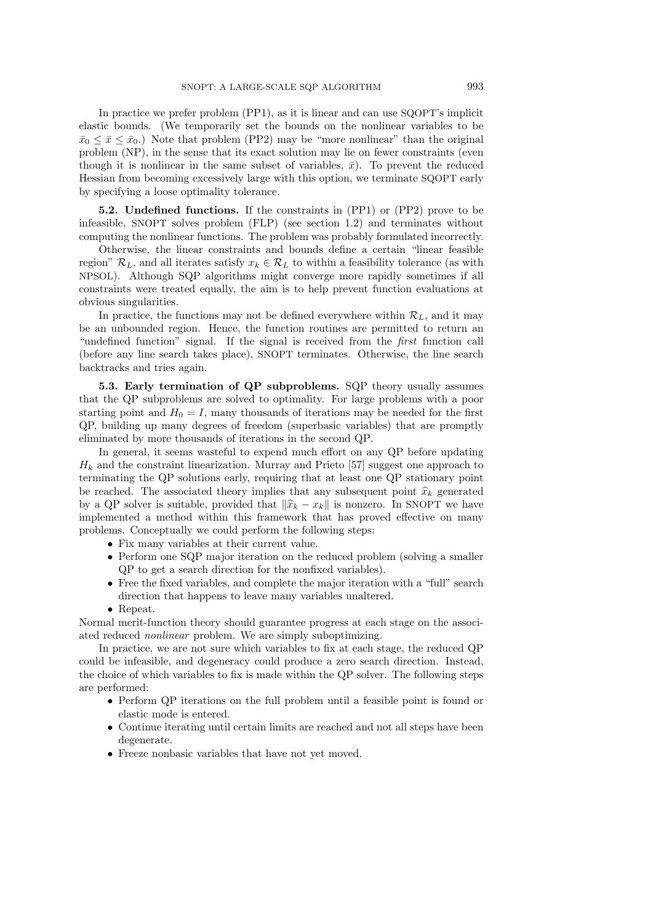In practice we prefer problem (PP1), as it is linear and can use SQOPT's implicit elastic bounds. (We temporarily set the bounds on the nonlinear variables to be  $\bar{x}_0 \leq \bar{x} \leq \bar{x}_0$ .) Note that problem (PP2) may be "more nonlinear" than the original problem (NP), in the sense that its exact solution may lie on fewer constraints (even though it is nonlinear in the same subset of variables,  $\bar{x}$ ). To prevent the reduced Hessian from becoming excessively large with this option, we terminate SQOPT early by specifying a loose optimality tolerance.

5.2. Undefined functions. If the constraints in (PP1) or (PP2) prove to be infeasible, SNOPT solves problem (FLP) (see section 1.2) and terminates without computing the nonlinear functions. The problem was probably formulated incorrectly.

Otherwise, the linear constraints and bounds define a certain "linear feasible region"  $\mathcal{R}_L$ , and all iterates satisfy  $x_k \in \mathcal{R}_L$  to within a feasibility tolerance (as with NPSOL). Although SQP algorithms might converge more rapidly sometimes if all constraints were treated equally, the aim is to help prevent function evaluations at obvious singularities.

In practice, the functions may not be defined everywhere within  $\mathcal{R}_L$ , and it may be an unbounded region. Hence, the function routines are permitted to return an "undefined function" signal. If the signal is received from the first function call (before any line search takes place), SNOPT terminates. Otherwise, the line search backtracks and tries again.

5.3. Early termination of QP subproblems. SQP theory usually assumes that the QP subproblems are solved to optimality. For large problems with a poor starting point and  $H_0 = I$ , many thousands of iterations may be needed for the first QP, building up many degrees of freedom (superbasic variables) that are promptly eliminated by more thousands of iterations in the second QP.

In general, it seems wasteful to expend much effort on any QP before updating  $H_k$  and the constraint linearization. Murray and Prieto [57] suggest one approach to terminating the QP solutions early, requiring that at least one QP stationary point be reached. The associated theory implies that any subsequent point  $\hat{x}_k$  generated by a QP solver is suitable, provided that  $\|\widehat{x}_k - x_k\|$  is nonzero. In SNOPT we have implemented a method within this framework that has proved effective on many problems. Conceptually we could perform the following steps:

- Fix many variables at their current value.
- Perform one SQP major iteration on the reduced problem (solving a smaller QP to get a search direction for the nonfixed variables).
- Free the fixed variables, and complete the major iteration with a "full" search direction that happens to leave many variables unaltered.
- Repeat.

Normal merit-function theory should guarantee progress at each stage on the associated reduced nonlinear problem. We are simply suboptimizing.

In practice, we are not sure which variables to fix at each stage, the reduced QP could be infeasible, and degeneracy could produce a zero search direction. Instead, the choice of which variables to fix is made within the QP solver. The following steps are performed:

- Perform QP iterations on the full problem until a feasible point is found or elastic mode is entered.
- Continue iterating until certain limits are reached and not all steps have been degenerate.
- Freeze nonbasic variables that have not yet moved.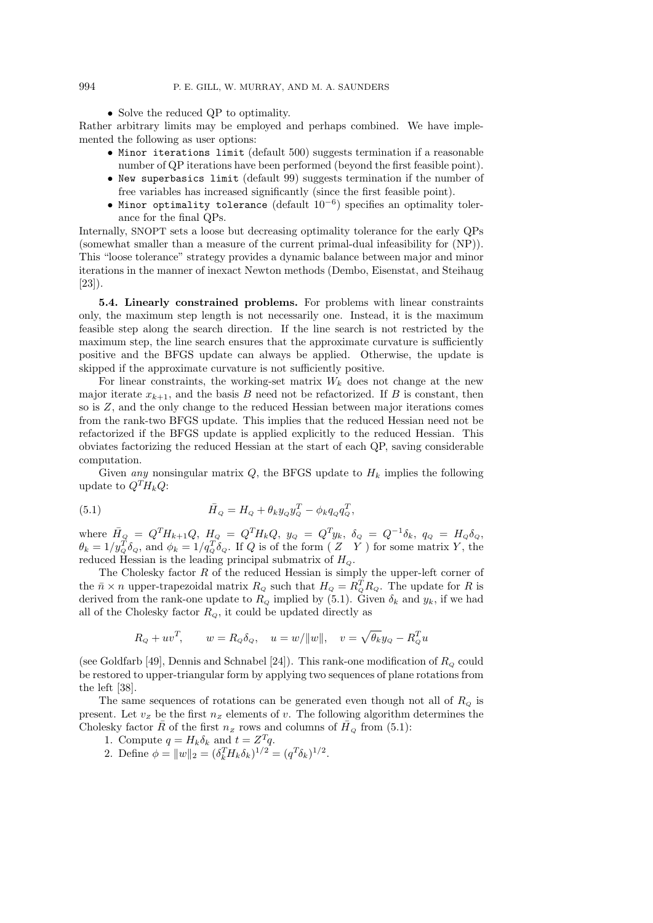• Solve the reduced QP to optimality.

Rather arbitrary limits may be employed and perhaps combined. We have implemented the following as user options:

- Minor iterations limit (default 500) suggests termination if a reasonable number of QP iterations have been performed (beyond the first feasible point).
- New superbasics limit (default 99) suggests termination if the number of free variables has increased significantly (since the first feasible point).
- Minor optimality tolerance (default  $10^{-6}$ ) specifies an optimality tolerance for the final QPs.

Internally, SNOPT sets a loose but decreasing optimality tolerance for the early QPs (somewhat smaller than a measure of the current primal-dual infeasibility for (NP)). This "loose tolerance" strategy provides a dynamic balance between major and minor iterations in the manner of inexact Newton methods (Dembo, Eisenstat, and Steihaug [23]).

5.4. Linearly constrained problems. For problems with linear constraints only, the maximum step length is not necessarily one. Instead, it is the maximum feasible step along the search direction. If the line search is not restricted by the maximum step, the line search ensures that the approximate curvature is sufficiently positive and the BFGS update can always be applied. Otherwise, the update is skipped if the approximate curvature is not sufficiently positive.

For linear constraints, the working-set matrix  $W_k$  does not change at the new major iterate  $x_{k+1}$ , and the basis B need not be refactorized. If B is constant, then so is Z, and the only change to the reduced Hessian between major iterations comes from the rank-two BFGS update. This implies that the reduced Hessian need not be refactorized if the BFGS update is applied explicitly to the reduced Hessian. This obviates factorizing the reduced Hessian at the start of each QP, saving considerable computation.

Given any nonsingular matrix  $Q$ , the BFGS update to  $H_k$  implies the following update to  $Q^T H_k Q$ :

(5.1) 
$$
\bar{H}_Q = H_Q + \theta_k y_Q y_Q^T - \phi_k q_Q q_Q^T,
$$

where  $\bar{H}_Q = Q^T H_{k+1} Q$ ,  $H_Q = Q^T H_k Q$ ,  $y_Q = Q^T y_k$ ,  $\delta_Q = Q^{-1} \delta_k$ ,  $q_Q = H_Q \delta_Q$ ,  $\theta_k = 1/y_Q^T \delta_Q$ , and  $\phi_k = 1/q_Q^T \delta_Q$ . If Q is of the form  $(Z \ Y)$  for some matrix Y, the reduced Hessian is the leading principal submatrix of  $H_Q$ .

The Cholesky factor  $R$  of the reduced Hessian is simply the upper-left corner of the  $\bar{n} \times n$  upper-trapezoidal matrix  $R_Q$  such that  $H_Q = R_Q^T R_Q$ . The update for R is derived from the rank-one update to  $R_Q$  implied by (5.1). Given  $\delta_k$  and  $y_k$ , if we had all of the Cholesky factor  $R_{\scriptscriptstyle O}$ , it could be updated directly as

$$
R_Q + uv^T
$$
,  $w = R_Q \delta_Q$ ,  $u = w/||w||$ ,  $v = \sqrt{\theta_k} y_Q - R_Q^T u$ 

(see Goldfarb [49], Dennis and Schnabel [24]). This rank-one modification of  $R_{\rm o}$  could be restored to upper-triangular form by applying two sequences of plane rotations from the left [38].

The same sequences of rotations can be generated even though not all of  $R_{\scriptscriptstyle Q}$  is present. Let  $v_z$  be the first  $n_z$  elements of v. The following algorithm determines the Cholesky factor  $\overline{R}$  of the first  $n_z$  rows and columns of  $\overline{H}_Q$  from (5.1):

- 1. Compute  $q = H_k \delta_k$  and  $t = Z^T q$ .
- 2. Define  $\phi = ||w||_2 = (\delta_k^T H_k \delta_k)^{1/2} = (q^T \delta_k)^{1/2}$ .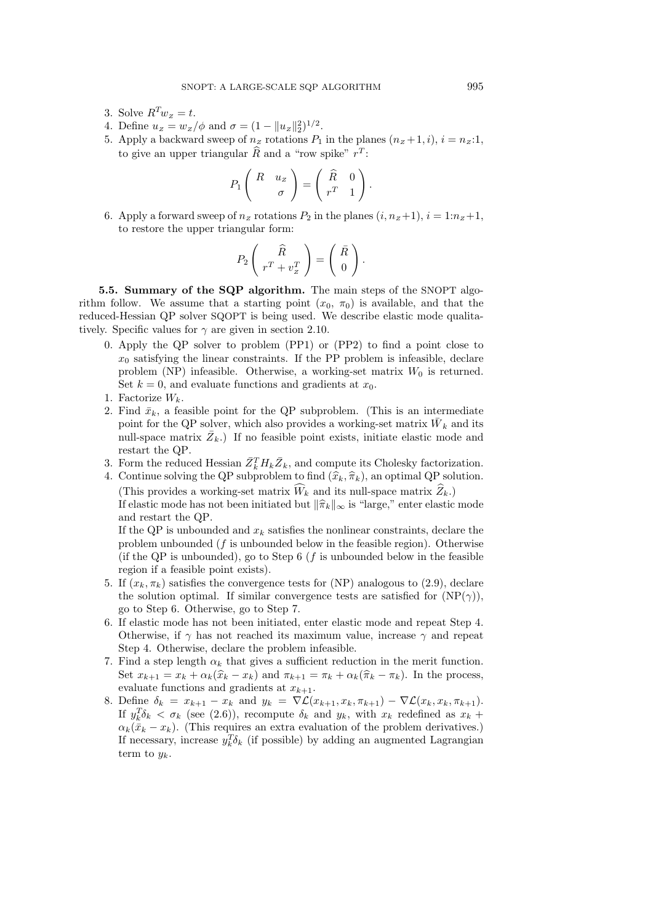- 3. Solve  $R^Tw_z = t$ .
- 4. Define  $u_z = w_z / \phi$  and  $\sigma = (1 ||u_z||_2^2)^{1/2}$ .
- 5. Apply a backward sweep of  $n_z$  rotations  $P_1$  in the planes  $(n_z + 1, i), i = n_z : 1$ , to give an upper triangular  $\widehat{R}$  and a "row spike"  $r^T$ :

$$
P_1\left(\begin{array}{cc} R & u_Z \\ & \sigma \end{array}\right) = \left(\begin{array}{cc} \widehat{R} & 0 \\ r^T & 1 \end{array}\right).
$$

6. Apply a forward sweep of  $n_z$  rotations  $P_2$  in the planes  $(i, n_z + 1), i = 1:n_z + 1$ , to restore the upper triangular form:

$$
P_2\left(\begin{array}{c}\widehat{R} \\ r^T + v_z^T \end{array}\right) = \left(\begin{array}{c}\bar{R} \\ 0 \end{array}\right).
$$

5.5. Summary of the SQP algorithm. The main steps of the SNOPT algorithm follow. We assume that a starting point  $(x_0, \pi_0)$  is available, and that the reduced-Hessian QP solver SQOPT is being used. We describe elastic mode qualitatively. Specific values for  $\gamma$  are given in section 2.10.

- 0. Apply the QP solver to problem (PP1) or (PP2) to find a point close to  $x_0$  satisfying the linear constraints. If the PP problem is infeasible, declare problem (NP) infeasible. Otherwise, a working-set matrix  $W_0$  is returned. Set  $k = 0$ , and evaluate functions and gradients at  $x_0$ .
- 1. Factorize  $W_k$ .
- 2. Find  $\bar{x}_k$ , a feasible point for the QP subproblem. (This is an intermediate point for the QP solver, which also provides a working-set matrix  $\bar{W}_k$  and its null-space matrix  $\bar{Z}_k$ .) If no feasible point exists, initiate elastic mode and restart the QP.
- 3. Form the reduced Hessian  $\bar{Z}_k^T H_k \bar{Z}_k$ , and compute its Cholesky factorization.

4. Continue solving the QP subproblem to find  $(\widehat{x}_k, \widehat{\pi}_k)$ , an optimal QP solution. (This provides a working-set matrix  $\widehat{W}_k$  and its null-space matrix  $\widehat{Z}_k$ .) If elastic mode has not been initiated but  $\|\hat{\pi}_k\|_{\infty}$  is "large," enter elastic mode and restart the QP.

If the QP is unbounded and  $x_k$  satisfies the nonlinear constraints, declare the problem unbounded  $(f$  is unbounded below in the feasible region). Otherwise (if the QP is unbounded), go to Step  $6$  (f is unbounded below in the feasible region if a feasible point exists).

- 5. If  $(x_k, \pi_k)$  satisfies the convergence tests for (NP) analogous to (2.9), declare the solution optimal. If similar convergence tests are satisfied for  $(NP(\gamma))$ , go to Step 6. Otherwise, go to Step 7.
- 6. If elastic mode has not been initiated, enter elastic mode and repeat Step 4. Otherwise, if  $\gamma$  has not reached its maximum value, increase  $\gamma$  and repeat Step 4. Otherwise, declare the problem infeasible.
- 7. Find a step length  $\alpha_k$  that gives a sufficient reduction in the merit function. Set  $x_{k+1} = x_k + \alpha_k(\widehat{x}_k - x_k)$  and  $\pi_{k+1} = \pi_k + \alpha_k(\widehat{\pi}_k - \pi_k)$ . In the process, evaluate functions and gradients at  $x_{k+1}$ .
- 8. Define  $\delta_k = x_{k+1} x_k$  and  $y_k = \nabla \mathcal{L}(x_{k+1}, x_k, \pi_{k+1}) \nabla \mathcal{L}(x_k, x_k, \pi_{k+1}).$ If  $y_k^T \delta_k < \sigma_k$  (see (2.6)), recompute  $\delta_k$  and  $y_k$ , with  $x_k$  redefined as  $x_k$  +  $\alpha_k(\bar{x}_k - x_k)$ . (This requires an extra evaluation of the problem derivatives.) If necessary, increase  $y_k^T \delta_k$  (if possible) by adding an augmented Lagrangian term to  $y_k$ .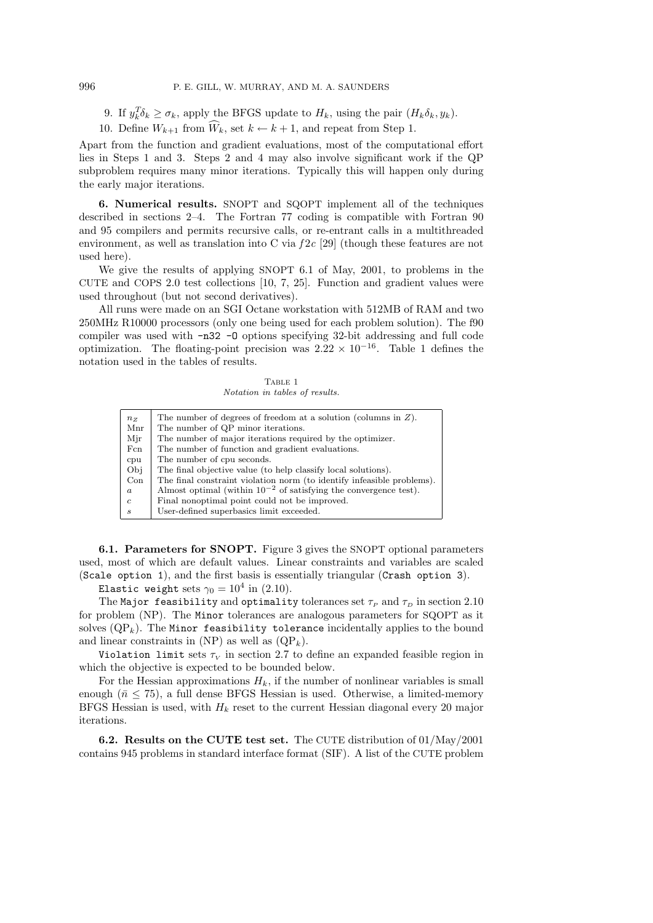9. If  $y_k^T \delta_k \ge \sigma_k$ , apply the BFGS update to  $H_k$ , using the pair  $(H_k \delta_k, y_k)$ .

10. Define  $W_{k+1}$  from  $\widehat{W}_k$ , set  $k \leftarrow k+1$ , and repeat from Step 1.

Apart from the function and gradient evaluations, most of the computational effort lies in Steps 1 and 3. Steps 2 and 4 may also involve significant work if the QP subproblem requires many minor iterations. Typically this will happen only during the early major iterations.

6. Numerical results. SNOPT and SQOPT implement all of the techniques described in sections 2–4. The Fortran 77 coding is compatible with Fortran 90 and 95 compilers and permits recursive calls, or re-entrant calls in a multithreaded environment, as well as translation into C via  $f2c$  [29] (though these features are not used here).

We give the results of applying SNOPT 6.1 of May, 2001, to problems in the CUTE and COPS 2.0 test collections [10, 7, 25]. Function and gradient values were used throughout (but not second derivatives).

All runs were made on an SGI Octane workstation with 512MB of RAM and two 250MHz R10000 processors (only one being used for each problem solution). The f90 compiler was used with -n32 -O options specifying 32-bit addressing and full code optimization. The floating-point precision was  $2.22 \times 10^{-16}$ . Table 1 defines the notation used in the tables of results.

TABLE 1 Notation in tables of results.

| $n_{Z}$                     | The number of degrees of freedom at a solution (columns in $Z$ ).      |  |
|-----------------------------|------------------------------------------------------------------------|--|
| Mnr                         | The number of QP minor iterations.                                     |  |
| Mir                         | The number of major iterations required by the optimizer.              |  |
| Fcn                         | The number of function and gradient evaluations.                       |  |
| cpu                         | The number of cpu seconds.                                             |  |
| Obi                         | The final objective value (to help classify local solutions).          |  |
| Con                         | The final constraint violation norm (to identify infeasible problems). |  |
| $\boldsymbol{a}$            | Almost optimal (within $10^{-2}$ of satisfying the convergence test).  |  |
| $\mathfrak{c}$              | Final nonoptimal point could not be improved.                          |  |
| $\mathcal{S}_{\mathcal{S}}$ | User-defined superbasics limit exceeded.                               |  |
|                             |                                                                        |  |

6.1. Parameters for SNOPT. Figure 3 gives the SNOPT optional parameters used, most of which are default values. Linear constraints and variables are scaled (Scale option 1), and the first basis is essentially triangular (Crash option 3).

Elastic weight sets  $\gamma_0 = 10^4$  in (2.10).

The Major feasibility and optimality tolerances set  $\tau_P$  and  $\tau_D$  in section 2.10 for problem (NP). The Minor tolerances are analogous parameters for SQOPT as it solves  $(QP_k)$ . The Minor feasibility tolerance incidentally applies to the bound and linear constraints in (NP) as well as  $(QP_k)$ .

Violation limit sets  $\tau_V$  in section 2.7 to define an expanded feasible region in which the objective is expected to be bounded below.

For the Hessian approximations  $H_k$ , if the number of nonlinear variables is small enough ( $\bar{n} \leq 75$ ), a full dense BFGS Hessian is used. Otherwise, a limited-memory BFGS Hessian is used, with  $H_k$  reset to the current Hessian diagonal every 20 major iterations.

6.2. Results on the CUTE test set. The CUTE distribution of 01/May/2001 contains 945 problems in standard interface format (SIF). A list of the CUTE problem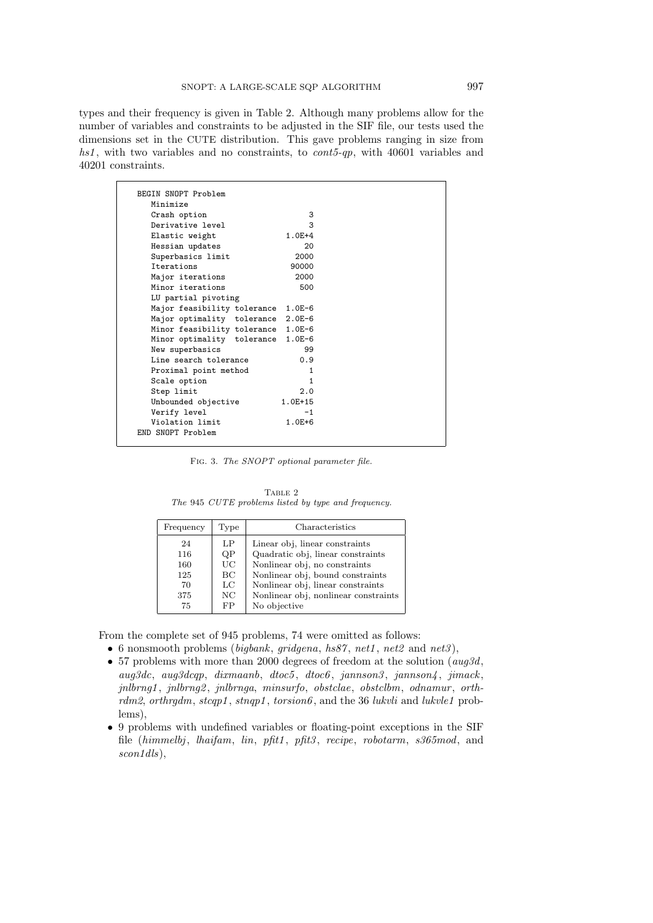types and their frequency is given in Table 2. Although many problems allow for the number of variables and constraints to be adjusted in the SIF file, our tests used the dimensions set in the CUTE distribution. This gave problems ranging in size from hs1, with two variables and no constraints, to  $cont5-qp$ , with 40601 variables and 40201 constraints.

| BEGIN SNOPT Problem         |            |
|-----------------------------|------------|
| Minimize                    |            |
| Crash option                | 3          |
| Derivative level            | 3          |
| Elastic weight              | $1.0E+4$   |
| Hessian updates             | 20         |
| Superbasics limit           | 2000       |
| <b>Tterations</b>           | 90000      |
| Major iterations            | 2000       |
| Minor iterations            | 500        |
| LU partial pivoting         |            |
| Major feasibility tolerance | $1.0E-6$   |
| Major optimality tolerance  | $2.0E-6$   |
| Minor feasibility tolerance | $1.0E-6$   |
| Minor optimality tolerance  | $1.0E-6$   |
| New superbasics             | 99         |
| Line search tolerance       | 0.9        |
| Proximal point method       | 1          |
| Scale option                | 1          |
| Step limit                  | 2.0        |
| Unbounded objective         | 1.0E+15    |
| Verify level                | $-1$       |
| Violation limit             | $1.0E + 6$ |
| END SNOPT Problem           |            |

FIG. 3. The SNOPT optional parameter file.

TABLE 2 The 945 CUTE problems listed by type and frequency.

| Frequency                            | Type                              | Characteristics                                                                                                                                                                                                       |
|--------------------------------------|-----------------------------------|-----------------------------------------------------------------------------------------------------------------------------------------------------------------------------------------------------------------------|
| 24<br>116<br>160<br>125<br>70<br>375 | LP<br>QP<br>UC.<br>BC<br>LC<br>NC | Linear obj, linear constraints<br>Quadratic obj, linear constraints<br>Nonlinear obj, no constraints<br>Nonlinear obj, bound constraints<br>Nonlinear obj, linear constraints<br>Nonlinear obj, nonlinear constraints |
| 75                                   | FP                                | No objective                                                                                                                                                                                                          |

From the complete set of 945 problems, 74 were omitted as follows:

- 6 nonsmooth problems (bigbank, gridgena, hs87, net1, net2 and net3),
- 57 problems with more than 2000 degrees of freedom at the solution  $(aug3d,$ aug3dc, aug3dcqp, dixmaanb, dtoc5, dtoc6, jannson3, jannson4, jimack, jnlbrng1, jnlbrng2, jnlbrnga, minsurfo, obstclae, obstclbm, odnamur, orthrdm2, orthrgdm, stcqp1, stnqp1, torsion6, and the 36 lukvli and lukvle1 problems),
- 9 problems with undefined variables or floating-point exceptions in the SIF file (himmelbj, lhaifam, lin, pfit1, pfit3, recipe, robotarm, s365mod, and scon<sub>1dls</sub>),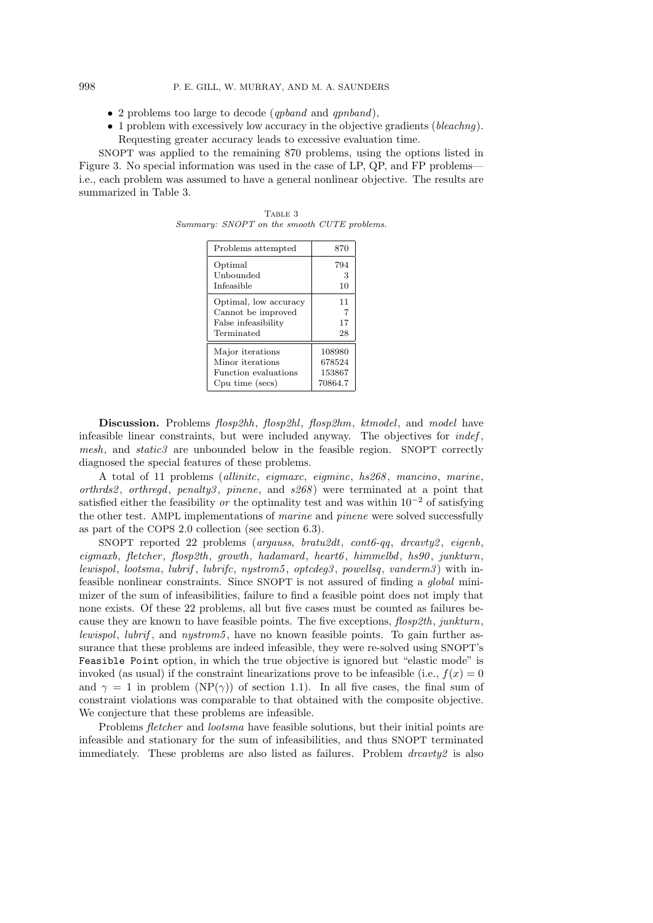- 2 problems too large to decode (qpband and qpnband),
- 1 problem with excessively low accuracy in the objective gradients (bleachng). Requesting greater accuracy leads to excessive evaluation time.

SNOPT was applied to the remaining 870 problems, using the options listed in Figure 3. No special information was used in the case of LP, QP, and FP problems i.e., each problem was assumed to have a general nonlinear objective. The results are summarized in Table 3.

| Problems attempted    | 870            |
|-----------------------|----------------|
| Optimal               | 794            |
| Unbounded             | З              |
| Infeasible            | 10             |
| Optimal, low accuracy | 11             |
| Cannot be improved    | $\overline{7}$ |
| False infeasibility   | 17             |
| Terminated            | 28             |
| Major iterations      | 108980         |
| Minor iterations      | 678524         |
| Function evaluations  | 153867         |
| Cpu time (secs)       | 70864.7        |

TABLE 3 Summary: SNOPT on the smooth CUTE problems.

Discussion. Problems flosp2hh, flosp2hl, flosp2hm, ktmodel, and model have infeasible linear constraints, but were included anyway. The objectives for  $indef$ , mesh, and static3 are unbounded below in the feasible region. SNOPT correctly diagnosed the special features of these problems.

A total of 11 problems (allinitc, eigmaxc, eigminc, hs268 , mancino, marine, orthrds2, orthregd, penalty3, pinene, and  $s268$  were terminated at a point that satisfied either the feasibility or the optimality test and was within  $10^{-2}$  of satisfying the other test. AMPL implementations of marine and pinene were solved successfully as part of the COPS 2.0 collection (see section 6.3).

SNOPT reported 22 problems (argauss, bratu2dt, cont6-qq, drcavty2, eigenb, eigmaxb, fletcher , flosp2th, growth, hadamard, heart6 , himmelbd, hs90 , junkturn, lewispol, lootsma, lubrif, lubrifc, nystrom5, optcdeg3, powellsq, vanderm3) with infeasible nonlinear constraints. Since SNOPT is not assured of finding a global minimizer of the sum of infeasibilities, failure to find a feasible point does not imply that none exists. Of these 22 problems, all but five cases must be counted as failures because they are known to have feasible points. The five exceptions,  $f \text{log}(2th, junkturn, k.)$ lewispol, lubrif, and nystrom5, have no known feasible points. To gain further assurance that these problems are indeed infeasible, they were re-solved using SNOPT's Feasible Point option, in which the true objective is ignored but "elastic mode" is invoked (as usual) if the constraint linearizations prove to be infeasible (i.e.,  $f(x) = 0$ and  $\gamma = 1$  in problem (NP( $\gamma$ )) of section 1.1). In all five cases, the final sum of constraint violations was comparable to that obtained with the composite objective. We conjecture that these problems are infeasible.

Problems *fletcher* and *lootsma* have feasible solutions, but their initial points are infeasible and stationary for the sum of infeasibilities, and thus SNOPT terminated immediately. These problems are also listed as failures. Problem  $\text{dravity2}$  is also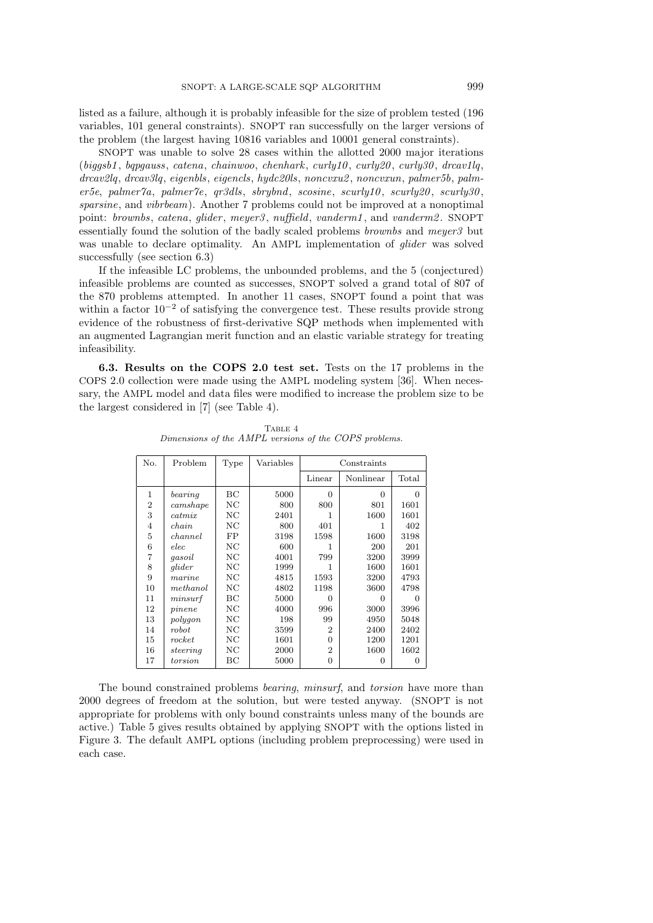listed as a failure, although it is probably infeasible for the size of problem tested (196 variables, 101 general constraints). SNOPT ran successfully on the larger versions of the problem (the largest having 10816 variables and 10001 general constraints).

SNOPT was unable to solve 28 cases within the allotted 2000 major iterations  $(biqqsb1, bqpgauss, catena, chainwo, chemhark, curly10, curly20, curly30, drcav1lq,$ drcav2lq, drcav3lq, eigenbls, eigencls, hydc20ls, noncvxu2 , noncvxun, palmer5b, palmer5e, palmer7a, palmer7e, qr3dls, sbrybnd, scosine, scurly10, scurly20, scurly30, sparsine, and *vibrbeam*). Another 7 problems could not be improved at a nonoptimal point: brownbs, catena, glider, meyer3, nuffield, vanderm1, and vanderm2. SNOPT essentially found the solution of the badly scaled problems brownbs and meyer3 but was unable to declare optimality. An AMPL implementation of *glider* was solved successfully (see section 6.3)

If the infeasible LC problems, the unbounded problems, and the 5 (conjectured) infeasible problems are counted as successes, SNOPT solved a grand total of 807 of the 870 problems attempted. In another 11 cases, SNOPT found a point that was within a factor  $10^{-2}$  of satisfying the convergence test. These results provide strong evidence of the robustness of first-derivative SQP methods when implemented with an augmented Lagrangian merit function and an elastic variable strategy for treating infeasibility.

6.3. Results on the COPS 2.0 test set. Tests on the 17 problems in the COPS 2.0 collection were made using the AMPL modeling system [36]. When necessary, the AMPL model and data files were modified to increase the problem size to be the largest considered in [7] (see Table 4).

| No.            | Problem           | Type             | Variables |                |           |          |
|----------------|-------------------|------------------|-----------|----------------|-----------|----------|
|                |                   |                  |           | Linear         | Nonlinear | Total    |
| 1              | bearing           | BC               | 5000      | $\Omega$       | $\Omega$  | $\Omega$ |
| $\overline{2}$ | camshape          | NC               | 800       | 800            | 801       | 1601     |
| 3              | catmix            | NC               | 2401      | 1              | 1600      | 1601     |
| $\overline{4}$ | chain             | NC               | 800       | 401            | 1         | 402      |
| 5              | channel           | FP               | 3198      | 1598           | 1600      | 3198     |
| 6              | elec              | $_{\mathrm{NC}}$ | 600       | 1              | 200       | 201      |
| 7              | qasoil            | NC               | 4001      | 799            | 3200      | 3999     |
| 8              | glider            | NC               | 1999      | 1              | 1600      | 1601     |
| 9              | $\mathit{marine}$ | NC               | 4815      | 1593           | 3200      | 4793     |
| 10             | methanol          | NC               | 4802      | 1198           | 3600      | 4798     |
| 11             | minsurf           | BС               | 5000      | 0              | $\Omega$  | O        |
| 12             | pinene            | NC               | 4000      | 996            | 3000      | 3996     |
| 13             | polygon           | NC               | 198       | 99             | 4950      | 5048     |
| 14             | robot             | NC               | 3599      | $\mathfrak{D}$ | 2400      | 2402     |
| 15             | rocket            | $_{\mathrm{NC}}$ | 1601      | $\Omega$       | 1200      | 1201     |
| 16             | steering          | NC               | 2000      | $\overline{2}$ | 1600      | 1602     |
| 17             | torsion           | BС               | 5000      | 0              | 0         | $\Omega$ |

TABLE 4 Dimensions of the AMPL versions of the COPS problems.

The bound constrained problems bearing, minsurf, and torsion have more than 2000 degrees of freedom at the solution, but were tested anyway. (SNOPT is not appropriate for problems with only bound constraints unless many of the bounds are active.) Table 5 gives results obtained by applying SNOPT with the options listed in Figure 3. The default AMPL options (including problem preprocessing) were used in each case.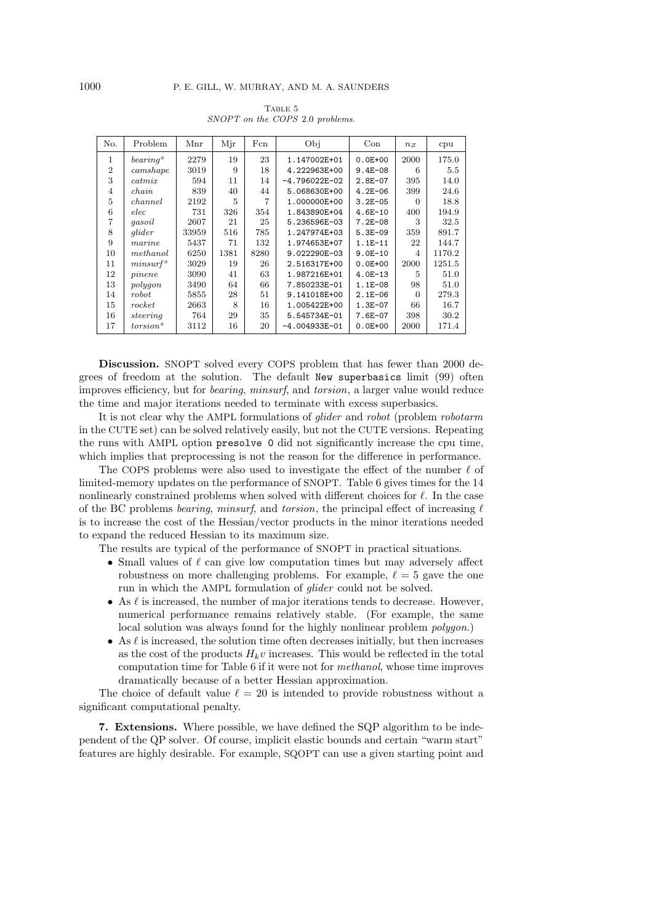| No.            | Problem              | Mnr   | Mjr  | Fcn  | Obj           | Con         | $n_z$    | cpu     |
|----------------|----------------------|-------|------|------|---------------|-------------|----------|---------|
| 1              | bearing <sup>s</sup> | 2279  | 19   | 23   | 1.147002E+01  | $0.0E + 00$ | 2000     | 175.0   |
| $\overline{2}$ | camshape             | 3019  | 9    | 18   | 4.222963E+00  | $9.4E - 08$ | 6        | $5.5\,$ |
| 3              | catmix               | 594   | 11   | 14   | -4.796022E-02 | $2.8E - 07$ | 395      | 14.0    |
| 4              | chain                | 839   | 40   | 44   | 5.068630E+00  | $4.2E - 06$ | 399      | 24.6    |
| 5              | channel              | 2192  | 5    |      | 1.000000E+00  | $3.2E - 05$ | $\Omega$ | 18.8    |
| 6              | elec                 | 731   | 326  | 354  | 1.843890E+04  | $4.6E-10$   | 400      | 194.9   |
| 7              | gasoil               | 2607  | 21   | 25   | 5.236596E-03  | $7.2E - 08$ | 3        | 32.5    |
| 8              | glider               | 33959 | 516  | 785  | 1.247974E+03  | $5.3E - 09$ | 359      | 891.7   |
| 9              | marine               | 5437  | 71   | 132  | 1.974653E+07  | $1.1E-11$   | 22       | 144.7   |
| 10             | methanol             | 6250  | 1381 | 8280 | 9.022290E-03  | $9.0E - 10$ | 4        | 1170.2  |
| 11             | minsurf <sup>s</sup> | 3029  | 19   | 26   | 2.516317E+00  | $0.0E + 00$ | 2000     | 1251.5  |
| 12             | pinene               | 3090  | 41   | 63   | 1.987216E+01  | $4.0E-13$   | 5        | 51.0    |
| 13             | polygon              | 3490  | 64   | 66   | 7.850233E-01  | $1.1E-08$   | 98       | 51.0    |
| 14             | robot                | 5855  | 28   | 51   | 9.141018E+00  | $2.1E - 06$ | $\Omega$ | 279.3   |
| 15             | rocket               | 2663  | 8    | 16   | 1.005422E+00  | $1.3E-07$   | 66       | 16.7    |
| 16             | steering             | 764   | 29   | 35   | 5.545734E-01  | $7.6E - 07$ | 398      | 30.2    |
| 17             | torsion <sup>s</sup> | 3112  | 16   | 20   | -4.004933E-01 | $0.0E + 00$ | 2000     | 171.4   |

TABLE 5 SNOPT on the COPS 2.0 problems.

Discussion. SNOPT solved every COPS problem that has fewer than 2000 degrees of freedom at the solution. The default New superbasics limit (99) often improves efficiency, but for bearing, minsurf, and torsion, a larger value would reduce the time and major iterations needed to terminate with excess superbasics.

It is not clear why the AMPL formulations of glider and robot (problem robotarm in the CUTE set) can be solved relatively easily, but not the CUTE versions. Repeating the runs with AMPL option presolve 0 did not significantly increase the cpu time, which implies that preprocessing is not the reason for the difference in performance.

The COPS problems were also used to investigate the effect of the number  $\ell$  of limited-memory updates on the performance of SNOPT. Table 6 gives times for the 14 nonlinearly constrained problems when solved with different choices for  $\ell$ . In the case of the BC problems *bearing, minsurf,* and *torsion*, the principal effect of increasing  $\ell$ is to increase the cost of the Hessian/vector products in the minor iterations needed to expand the reduced Hessian to its maximum size.

The results are typical of the performance of SNOPT in practical situations.

- Small values of  $\ell$  can give low computation times but may adversely affect robustness on more challenging problems. For example,  $\ell = 5$  gave the one run in which the AMPL formulation of glider could not be solved.
- As  $\ell$  is increased, the number of major iterations tends to decrease. However, numerical performance remains relatively stable. (For example, the same local solution was always found for the highly nonlinear problem polygon.)
- As  $\ell$  is increased, the solution time often decreases initially, but then increases as the cost of the products  $H_k v$  increases. This would be reflected in the total computation time for Table 6 if it were not for methanol, whose time improves dramatically because of a better Hessian approximation.

The choice of default value  $\ell = 20$  is intended to provide robustness without a significant computational penalty.

7. Extensions. Where possible, we have defined the SQP algorithm to be independent of the QP solver. Of course, implicit elastic bounds and certain "warm start" features are highly desirable. For example, SQOPT can use a given starting point and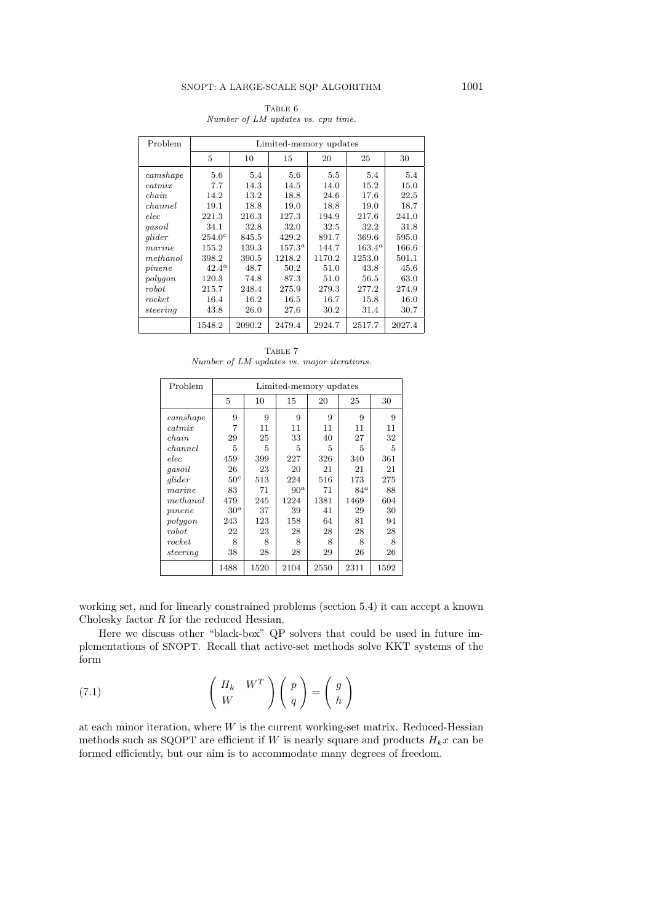## TABLE  $6$

Number of LM updates vs. cpu time.

| Problem  | Limited-memory updates |        |             |        |           |        |  |  |  |
|----------|------------------------|--------|-------------|--------|-----------|--------|--|--|--|
|          | 5                      | 10     | 15          | 20     | 25        | 30     |  |  |  |
| camshape | 5.6                    | 5.4    | 5.6         | 5.5    | 5.4       | 5.4    |  |  |  |
| catmix   | 7.7                    | 14.3   | 14.5        | 14.0   | 15.2      | 15.0   |  |  |  |
| chain    | 14.2                   | 13.2   | 18.8        | 24.6   | 17.6      | 22.5   |  |  |  |
| channel  | 19.1                   | 18.8   | 19.0        | 18.8   | 19.0      | 18.7   |  |  |  |
| elec     | 221.3                  | 216.3  | 127.3       | 194.9  | 217.6     | 241.0  |  |  |  |
| gasoil   | 34.1                   | 32.8   | 32.0        | 32.5   | 32.2      | 31.8   |  |  |  |
| glider   | $254.0^{c}$            | 845.5  | 429.2       | 891.7  | 369.6     | 595.0  |  |  |  |
| marine   | 155.2                  | 139.3  | $157.3^{a}$ | 144.7  | $163.4^a$ | 166.6  |  |  |  |
| methanol | 398.2                  | 390.5  | 1218.2      | 1170.2 | 1253.0    | 501.1  |  |  |  |
| pinene   | $42.4^a$               | 48.7   | 50.2        | 51.0   | 43.8      | 45.6   |  |  |  |
| polygon  | 120.3                  | 74.8   | 87.3        | 51.0   | 56.5      | 63.0   |  |  |  |
| robot    | 215.7                  | 248.4  | 275.9       | 279.3  | 277.2     | 274.9  |  |  |  |
| rocket   | 16.4                   | 16.2   | 16.5        | 16.7   | 15.8      | 16.0   |  |  |  |
| steering | 43.8                   | 26.0   | 27.6        | 30.2   | 31.4      | 30.7   |  |  |  |
|          | 1548.2                 | 2090.2 | 2479.4      | 2924.7 | 2517.7    | 2027.4 |  |  |  |

TABLE 7 Number of LM updates vs. major iterations.

| Problem      | Limited-memory updates |      |        |      |        |      |  |  |  |
|--------------|------------------------|------|--------|------|--------|------|--|--|--|
|              | 5                      | 10   | 15     | 20   | 25     | 30   |  |  |  |
| camshape     | 9                      | 9    | 9      | 9    | 9      | 9    |  |  |  |
| catmix       | 7                      | 11   | 11     | 11   | 11     | 11   |  |  |  |
| chain        | 29                     | 25   | 33     | 40   | 27     | 32   |  |  |  |
| channel      | 5                      | 5    | 5      | 5    | 5      | 5    |  |  |  |
| $_{elec}$    | 459                    | 399  | 227    | 326  | 340    | 361  |  |  |  |
| qasoil       | 26                     | 23   | 20     | 21   | 21     | 21   |  |  |  |
| glider       | 50 <sup>c</sup>        | 513  | 224    | 516  | 173    | 275  |  |  |  |
| $\it marine$ | 83                     | 71   | $90^a$ | 71   | $84^a$ | 88   |  |  |  |
| method       | 479                    | 245  | 1224   | 1381 | 1469   | 604  |  |  |  |
| pinene       | 30 <sup>a</sup>        | 37   | 39     | 41   | 29     | 30   |  |  |  |
| polygon      | 243                    | 123  | 158    | 64   | 81     | 94   |  |  |  |
| $_{robot}$   | 22                     | 23   | 28     | 28   | 28     | 28   |  |  |  |
| rocket       | 8                      | 8    | 8      | 8    | 8      | 8    |  |  |  |
| steering     | 38                     | 28   | 28     | 29   | 26     | 26   |  |  |  |
|              | 1488                   | 1520 | 2104   | 2550 | 2311   | 1592 |  |  |  |

working set, and for linearly constrained problems (section 5.4) it can accept a known Cholesky factor R for the reduced Hessian.

Here we discuss other "black-box" QP solvers that could be used in future implementations of SNOPT. Recall that active-set methods solve KKT systems of the form

(7.1) 
$$
\begin{pmatrix} H_k & W^T \\ W \end{pmatrix} \begin{pmatrix} p \\ q \end{pmatrix} = \begin{pmatrix} g \\ h \end{pmatrix}
$$

at each minor iteration, where  $W$  is the current working-set matrix. Reduced-Hessian methods such as SQOPT are efficient if W is nearly square and products  $H_kx$  can be formed efficiently, but our aim is to accommodate many degrees of freedom.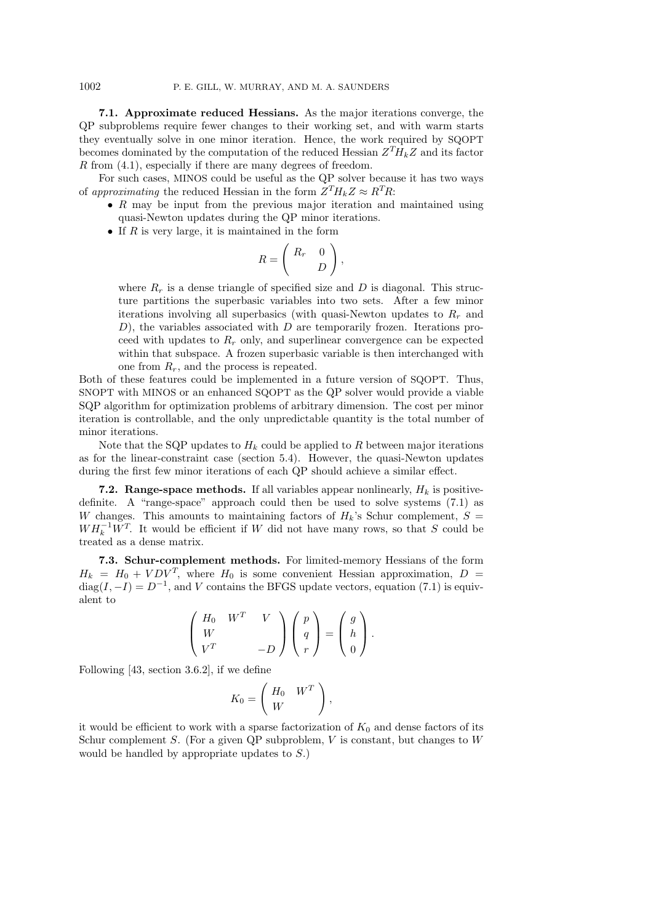7.1. Approximate reduced Hessians. As the major iterations converge, the QP subproblems require fewer changes to their working set, and with warm starts they eventually solve in one minor iteration. Hence, the work required by SQOPT becomes dominated by the computation of the reduced Hessian  $Z^T H_k Z$  and its factor R from (4.1), especially if there are many degrees of freedom.

For such cases, MINOS could be useful as the QP solver because it has two ways of approximating the reduced Hessian in the form  $Z^T H_k Z \approx R^T R$ :

- $R$  may be input from the previous major iteration and maintained using quasi-Newton updates during the QP minor iterations.
- If  $R$  is very large, it is maintained in the form

$$
R = \left(\begin{array}{cc} R_r & 0 \\ & D \end{array}\right),
$$

where  $R_r$  is a dense triangle of specified size and D is diagonal. This structure partitions the superbasic variables into two sets. After a few minor iterations involving all superbasics (with quasi-Newton updates to  $R_r$  and  $(D)$ , the variables associated with  $D$  are temporarily frozen. Iterations proceed with updates to  $R_r$  only, and superlinear convergence can be expected within that subspace. A frozen superbasic variable is then interchanged with one from  $R_r$ , and the process is repeated.

Both of these features could be implemented in a future version of SQOPT. Thus, SNOPT with MINOS or an enhanced SQOPT as the QP solver would provide a viable SQP algorithm for optimization problems of arbitrary dimension. The cost per minor iteration is controllable, and the only unpredictable quantity is the total number of minor iterations.

Note that the SQP updates to  $H_k$  could be applied to R between major iterations as for the linear-constraint case (section 5.4). However, the quasi-Newton updates during the first few minor iterations of each QP should achieve a similar effect.

**7.2. Range-space methods.** If all variables appear nonlinearly,  $H_k$  is positivedefinite. A "range-space" approach could then be used to solve systems (7.1) as W changes. This amounts to maintaining factors of  $H_k$ 's Schur complement,  $S =$  $WH_k^{-1}W^T$ . It would be efficient if W did not have many rows, so that S could be treated as a dense matrix.

7.3. Schur-complement methods. For limited-memory Hessians of the form  $H_k = H_0 + VDV^T$ , where  $H_0$  is some convenient Hessian approximation,  $D =$  $diag(I, -I) = D^{-1}$ , and V contains the BFGS update vectors, equation (7.1) is equivalent to

$$
\begin{pmatrix} H_0 & W^T & V \\ W & & \\ V^T & & -D \end{pmatrix} \begin{pmatrix} p \\ q \\ r \end{pmatrix} = \begin{pmatrix} g \\ h \\ 0 \end{pmatrix}.
$$

Following [43, section 3.6.2], if we define

$$
K_0 = \left(\begin{array}{cc} H_0 & W^T \\ W & \end{array}\right),
$$

it would be efficient to work with a sparse factorization of  $K_0$  and dense factors of its Schur complement S. (For a given QP subproblem,  $V$  is constant, but changes to  $W$ would be handled by appropriate updates to S.)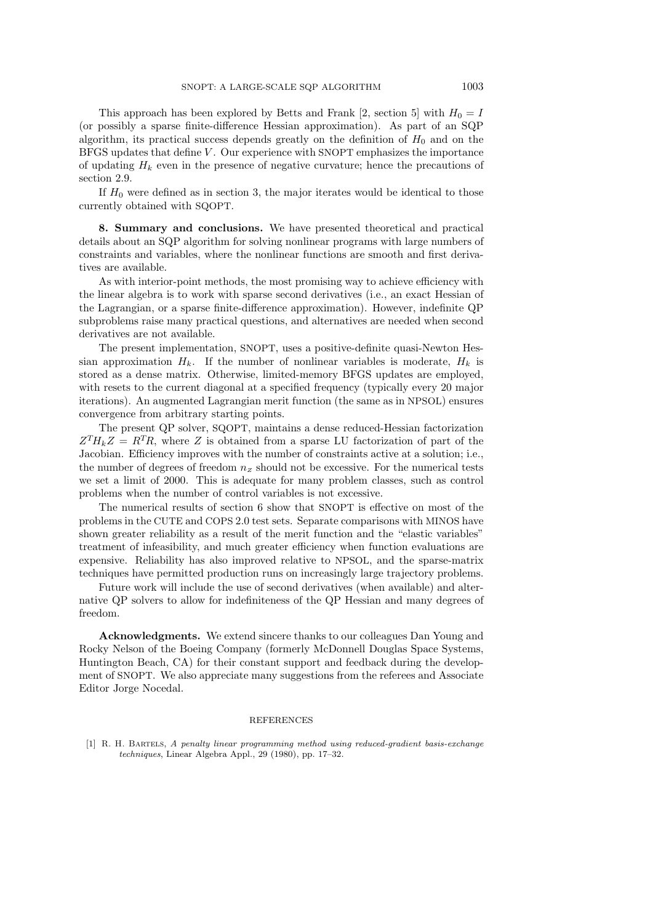BFGS updates that define V . Our experience with SNOPT emphasizes the importance of updating  $H_k$  even in the presence of negative curvature; hence the precautions of section 2.9.

If  $H_0$  were defined as in section 3, the major iterates would be identical to those currently obtained with SQOPT.

8. Summary and conclusions. We have presented theoretical and practical details about an SQP algorithm for solving nonlinear programs with large numbers of constraints and variables, where the nonlinear functions are smooth and first derivatives are available.

As with interior-point methods, the most promising way to achieve efficiency with the linear algebra is to work with sparse second derivatives (i.e., an exact Hessian of the Lagrangian, or a sparse finite-difference approximation). However, indefinite QP subproblems raise many practical questions, and alternatives are needed when second derivatives are not available.

The present implementation, SNOPT, uses a positive-definite quasi-Newton Hessian approximation  $H_k$ . If the number of nonlinear variables is moderate,  $H_k$  is stored as a dense matrix. Otherwise, limited-memory BFGS updates are employed, with resets to the current diagonal at a specified frequency (typically every 20 major iterations). An augmented Lagrangian merit function (the same as in NPSOL) ensures convergence from arbitrary starting points.

The present QP solver, SQOPT, maintains a dense reduced-Hessian factorization  $Z^T H_k Z = R^T R$ , where Z is obtained from a sparse LU factorization of part of the Jacobian. Efficiency improves with the number of constraints active at a solution; i.e., the number of degrees of freedom  $n_z$  should not be excessive. For the numerical tests we set a limit of 2000. This is adequate for many problem classes, such as control problems when the number of control variables is not excessive.

The numerical results of section 6 show that SNOPT is effective on most of the problems in the CUTE and COPS 2.0 test sets. Separate comparisons with MINOS have shown greater reliability as a result of the merit function and the "elastic variables" treatment of infeasibility, and much greater efficiency when function evaluations are expensive. Reliability has also improved relative to NPSOL, and the sparse-matrix techniques have permitted production runs on increasingly large trajectory problems.

Future work will include the use of second derivatives (when available) and alternative QP solvers to allow for indefiniteness of the QP Hessian and many degrees of freedom.

Acknowledgments. We extend sincere thanks to our colleagues Dan Young and Rocky Nelson of the Boeing Company (formerly McDonnell Douglas Space Systems, Huntington Beach, CA) for their constant support and feedback during the development of SNOPT. We also appreciate many suggestions from the referees and Associate Editor Jorge Nocedal.

## REFERENCES

[1] R. H. Bartels, A penalty linear programming method using reduced-gradient basis-exchange techniques, Linear Algebra Appl., 29 (1980), pp. 17–32.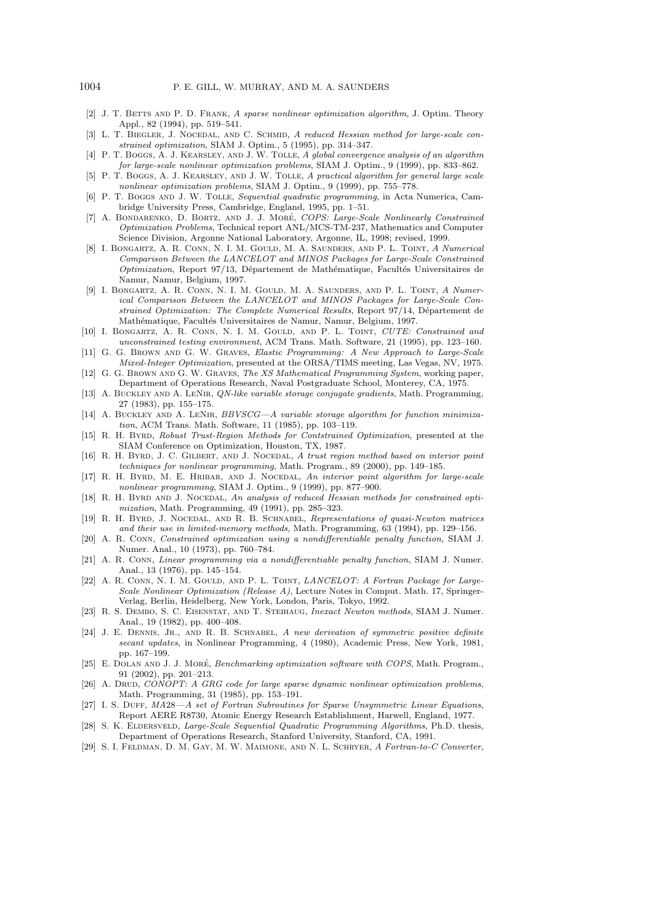- [2] J. T. BETTS AND P. D. FRANK, A sparse nonlinear optimization algorithm, J. Optim. Theory Appl., 82 (1994), pp. 519–541.
- [3] L. T. BIEGLER, J. NOCEDAL, AND C. SCHMID, A reduced Hessian method for large-scale constrained optimization, SIAM J. Optim., 5 (1995), pp. 314–347.
- [4] P. T. Boggs, A. J. KEARSLEY, AND J. W. TOLLE, A global convergence analysis of an algorithm for large-scale nonlinear optimization problems, SIAM J. Optim., 9 (1999), pp. 833–862.
- [5] P. T. BOGGS, A. J. KEARSLEY, AND J. W. TOLLE, A practical algorithm for general large scale nonlinear optimization problems, SIAM J. Optim., 9 (1999), pp. 755–778.
- [6] P. T. BOGGS AND J. W. TOLLE, Sequential quadratic programming, in Acta Numerica, Cambridge University Press, Cambridge, England, 1995, pp. 1–51.
- [7] A. BONDARENKO, D. BORTZ, AND J. J. MORÉ, COPS: Large-Scale Nonlinearly Constrained Optimization Problems, Technical report ANL/MCS-TM-237, Mathematics and Computer Science Division, Argonne National Laboratory, Argonne, IL, 1998; revised, 1999.
- [8] I. Bongartz, A. R. Conn, N. I. M. Gould, M. A. Saunders, and P. L. Toint, A Numerical Comparison Between the LANCELOT and MINOS Packages for Large-Scale Constrained  $Optimization$ , Report 97/13, Département de Mathématique, Facultés Universitaires de Namur, Namur, Belgium, 1997.
- [9] I. BONGARTZ, A. R. CONN, N. I. M. GOULD, M. A. SAUNDERS, AND P. L. TOINT, A Numerical Comparison Between the LANCELOT and MINOS Packages for Large-Scale Constrained Optimization: The Complete Numerical Results, Report 97/14, Département de Mathématique, Facultés Universitaires de Namur, Namur, Belgium, 1997.
- [10] I. BONGARTZ, A. R. CONN, N. I. M. GOULD, AND P. L. TOINT, CUTE: Constrained and unconstrained testing environment, ACM Trans. Math. Software, 21 (1995), pp. 123–160.
- [11] G. G. Brown and G. W. Graves, Elastic Programming: A New Approach to Large-Scale Mixed-Integer Optimization, presented at the ORSA/TIMS meeting, Las Vegas, NV, 1975.
- [12] G. G. BROWN AND G. W. GRAVES, The XS Mathematical Programming System, working paper, Department of Operations Research, Naval Postgraduate School, Monterey, CA, 1975.
- [13] A. BUCKLEY AND A. LENIR, *QN-like variable storage conjugate gradients*, Math. Programming, 27 (1983), pp. 155–175.
- [14] A. BUCKLEY AND A. LENIR, BBVSCG—A variable storage algorithm for function minimization, ACM Trans. Math. Software, 11 (1985), pp. 103–119.
- [15] R. H. BYRD, Robust Trust-Region Methods for Contstrained Optimization, presented at the SIAM Conference on Optimization, Houston, TX, 1987.
- [16] R. H. BYRD, J. C. GILBERT, AND J. NOCEDAL, A trust region method based on interior point techniques for nonlinear programming, Math. Program., 89 (2000), pp. 149–185.
- [17] R. H. BYRD, M. E. HRIBAR, AND J. NOCEDAL, An interior point algorithm for large-scale nonlinear programming, SIAM J. Optim., 9 (1999), pp. 877–900.
- [18] R. H. BYRD AND J. NOCEDAL, An analysis of reduced Hessian methods for constrained optimization, Math. Programming, 49 (1991), pp. 285–323.
- [19] R. H. BYRD, J. NOCEDAL, AND R. B. SCHNABEL, Representations of quasi-Newton matrices and their use in limited-memory methods, Math. Programming, 63 (1994), pp. 129–156.
- [20] A. R. Conn, Constrained optimization using a nondifferentiable penalty function, SIAM J. Numer. Anal., 10 (1973), pp. 760–784.
- [21] A. R. Conn, Linear programming via a nondifferentiable penalty function, SIAM J. Numer. Anal., 13 (1976), pp. 145–154.
- [22] A. R. CONN, N. I. M. GOULD, AND P. L. TOINT, LANCELOT: A Fortran Package for Large-Scale Nonlinear Optimization (Release A), Lecture Notes in Comput. Math. 17, Springer-Verlag, Berlin, Heidelberg, New York, London, Paris, Tokyo, 1992.
- [23] R. S. Dembo, S. C. Eisenstat, and T. Steihaug, Inexact Newton methods, SIAM J. Numer. Anal., 19 (1982), pp. 400–408.
- [24] J. E. DENNIS, JR., AND R. B. SCHNABEL, A new derivation of symmetric positive definite secant updates, in Nonlinear Programming, 4 (1980), Academic Press, New York, 1981, pp. 167–199.
- [25] E. DOLAN AND J. J. MORÉ, Benchmarking optimization software with COPS, Math. Program., 91 (2002), pp. 201–213.
- [26] A. DRUD, CONOPT: A GRG code for large sparse dynamic nonlinear optimization problems, Math. Programming, 31 (1985), pp. 153–191.
- [27] I. S. DUFF, MA28—A set of Fortran Subroutines for Sparse Unsymmetric Linear Equations, Report AERE R8730, Atomic Energy Research Establishment, Harwell, England, 1977.
- [28] S. K. ELDERSVELD, Large-Scale Sequential Quadratic Programming Algorithms, Ph.D. thesis, Department of Operations Research, Stanford University, Stanford, CA, 1991.
- [29] S. I. Feldman, D. M. Gay, M. W. Maimone, and N. L. Schryer, A Fortran-to-C Converter,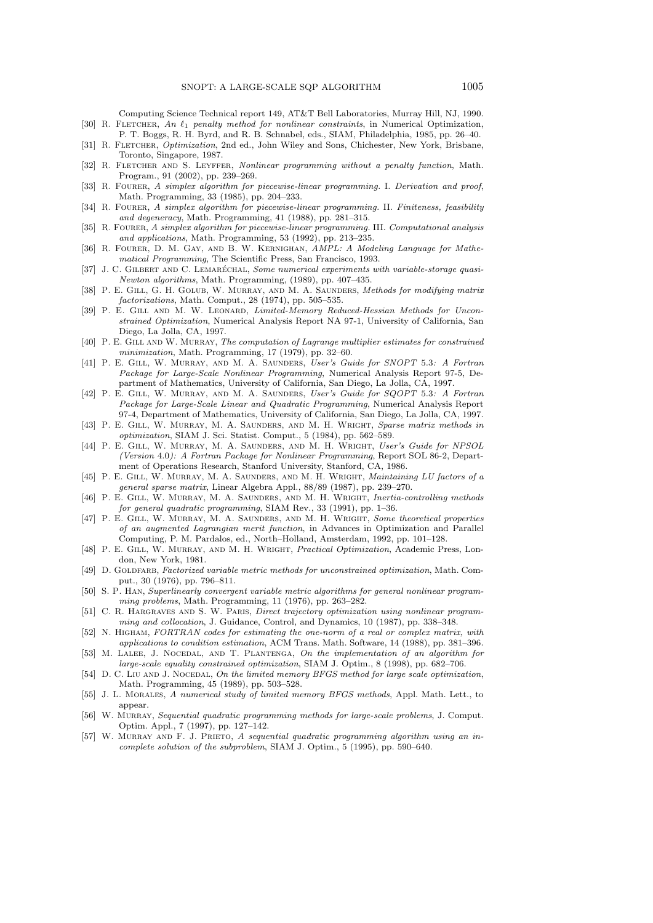Computing Science Technical report 149, AT&T Bell Laboratories, Murray Hill, NJ, 1990. [30] R. FLETCHER, An  $\ell_1$  penalty method for nonlinear constraints, in Numerical Optimization, P. T. Boggs, R. H. Byrd, and R. B. Schnabel, eds., SIAM, Philadelphia, 1985, pp. 26–40.

- [31] R. FLETCHER, Optimization, 2nd ed., John Wiley and Sons, Chichester, New York, Brisbane, Toronto, Singapore, 1987.
- [32] R. FLETCHER AND S. LEYFFER, Nonlinear programming without a penalty function, Math. Program., 91 (2002), pp. 239–269.
- [33] R. FOURER, A simplex algorithm for piecewise-linear programming. I. Derivation and proof, Math. Programming, 33 (1985), pp. 204–233.
- [34] R. FOURER, A simplex algorithm for piecewise-linear programming. II. Finiteness, feasibility and degeneracy, Math. Programming, 41 (1988), pp. 281–315.
- [35] R. FOURER, A simplex algorithm for piecewise-linear programming. III. Computational analysis and applications, Math. Programming, 53 (1992), pp. 213–235.
- [36] R. Fourer, D. M. Gay, and B. W. Kernighan, AMPL: A Modeling Language for Mathematical Programming, The Scientific Press, San Francisco, 1993.
- [37] J. C. GILBERT AND C. LEMARÉCHAL, Some numerical experiments with variable-storage quasi-Newton algorithms, Math. Programming, (1989), pp. 407–435.
- [38] P. E. GILL, G. H. GOLUB, W. MURRAY, AND M. A. SAUNDERS, Methods for modifying matrix factorizations, Math. Comput., 28 (1974), pp. 505–535.
- [39] P. E. GILL AND M. W. LEONARD, Limited-Memory Reduced-Hessian Methods for Unconstrained Optimization, Numerical Analysis Report NA 97-1, University of California, San Diego, La Jolla, CA, 1997.
- [40] P. E. GILL AND W. MURRAY, The computation of Lagrange multiplier estimates for constrained minimization, Math. Programming, 17 (1979), pp. 32–60.
- [41] P. E. Gill, W. Murray, and M. A. Saunders, User's Guide for SNOPT 5.3: A Fortran Package for Large-Scale Nonlinear Programming, Numerical Analysis Report 97-5, Department of Mathematics, University of California, San Diego, La Jolla, CA, 1997.
- [42] P. E. GILL, W. MURRAY, AND M. A. SAUNDERS, User's Guide for SQOPT 5.3: A Fortran Package for Large-Scale Linear and Quadratic Programming, Numerical Analysis Report 97-4, Department of Mathematics, University of California, San Diego, La Jolla, CA, 1997.
- [43] P. E. GILL, W. MURRAY, M. A. SAUNDERS, AND M. H. WRIGHT, Sparse matrix methods in optimization, SIAM J. Sci. Statist. Comput., 5 (1984), pp. 562–589.
- [44] P. E. GILL, W. MURRAY, M. A. SAUNDERS, AND M. H. WRIGHT, User's Guide for NPSOL (Version 4.0): A Fortran Package for Nonlinear Programming, Report SOL 86-2, Department of Operations Research, Stanford University, Stanford, CA, 1986.
- [45] P. E. GILL, W. MURRAY, M. A. SAUNDERS, AND M. H. WRIGHT, *Maintaining LU factors of a* general sparse matrix, Linear Algebra Appl., 88/89 (1987), pp. 239–270.
- [46] P. E. GILL, W. MURRAY, M. A. SAUNDERS, AND M. H. WRIGHT, Inertia-controlling methods for general quadratic programming, SIAM Rev., 33 (1991), pp. 1–36.
- [47] P. E. GILL, W. MURRAY, M. A. SAUNDERS, AND M. H. WRIGHT, Some theoretical properties of an augmented Lagrangian merit function, in Advances in Optimization and Parallel Computing, P. M. Pardalos, ed., North–Holland, Amsterdam, 1992, pp. 101–128.
- [48] P. E. GILL, W. MURRAY, AND M. H. WRIGHT, Practical Optimization, Academic Press, London, New York, 1981.
- [49] D. GOLDFARB, Factorized variable metric methods for unconstrained optimization, Math. Comput., 30 (1976), pp. 796–811.
- [50] S. P. Han, Superlinearly convergent variable metric algorithms for general nonlinear programming problems, Math. Programming, 11 (1976), pp. 263–282.
- [51] C. R. HARGRAVES AND S. W. PARIS, Direct trajectory optimization using nonlinear programming and collocation, J. Guidance, Control, and Dynamics, 10 (1987), pp. 338–348.
- [52] N. Higham, FORTRAN codes for estimating the one-norm of a real or complex matrix, with applications to condition estimation, ACM Trans. Math. Software, 14 (1988), pp. 381–396.
- [53] M. LALEE, J. NOCEDAL, AND T. PLANTENGA, On the implementation of an algorithm for large-scale equality constrained optimization, SIAM J. Optim., 8 (1998), pp. 682–706.
- [54] D. C. LIU AND J. NOCEDAL, On the limited memory BFGS method for large scale optimization, Math. Programming, 45 (1989), pp. 503–528.
- [55] J. L. Morales, A numerical study of limited memory BFGS methods, Appl. Math. Lett., to appear.
- [56] W. MURRAY, Sequential quadratic programming methods for large-scale problems, J. Comput. Optim. Appl., 7 (1997), pp. 127–142.
- [57] W. MURRAY AND F. J. PRIETO, A sequential quadratic programming algorithm using an incomplete solution of the subproblem, SIAM J. Optim., 5 (1995), pp. 590–640.